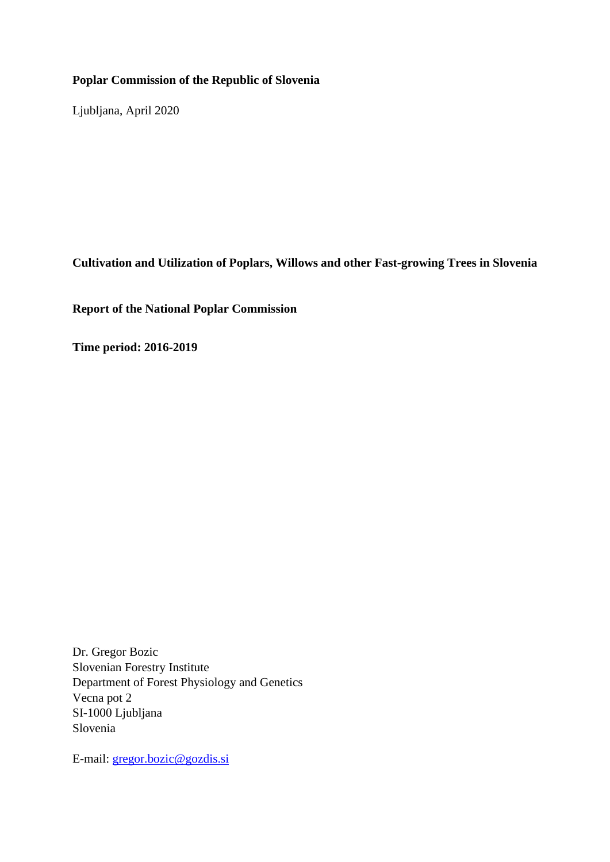### **Poplar Commission of the Republic of Slovenia**

Ljubljana, April 2020

**Cultivation and Utilization of Poplars, Willows and other Fast-growing Trees in Slovenia**

**Report of the National Poplar Commission**

**Time period: 2016-2019**

Dr. Gregor Bozic Slovenian Forestry Institute Department of Forest Physiology and Genetics Vecna pot 2 SI-1000 Ljubljana Slovenia

E-mail: [gregor.bozic@gozdis.si](mailto:gregor.bozic@gozdis.si)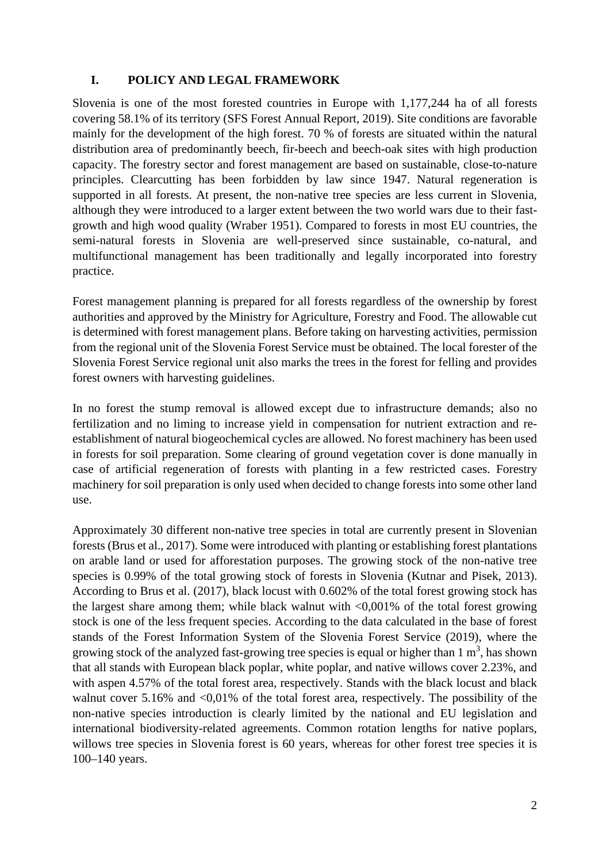### **I. POLICY AND LEGAL FRAMEWORK**

Slovenia is one of the most forested countries in Europe with 1,177,244 ha of all forests covering 58.1% of its territory (SFS Forest Annual Report, 2019). Site conditions are favorable mainly for the development of the high forest. 70 % of forests are situated within the natural distribution area of predominantly beech, fir-beech and beech-oak sites with high production capacity. The forestry sector and forest management are based on sustainable, close-to-nature principles. Clearcutting has been forbidden by law since 1947. Natural regeneration is supported in all forests. At present, the non-native tree species are less current in Slovenia, although they were introduced to a larger extent between the two world wars due to their fastgrowth and high wood quality (Wraber 1951). Compared to forests in most EU countries, the semi-natural forests in Slovenia are well-preserved since sustainable, co-natural, and multifunctional management has been traditionally and legally incorporated into forestry practice.

Forest management planning is prepared for all forests regardless of the ownership by forest authorities and approved by the Ministry for Agriculture, Forestry and Food. The allowable cut is determined with forest management plans. Before taking on harvesting activities, permission from the regional unit of the Slovenia Forest Service must be obtained. The local forester of the Slovenia Forest Service regional unit also marks the trees in the forest for felling and provides forest owners with harvesting guidelines.

In no forest the stump removal is allowed except due to infrastructure demands; also no fertilization and no liming to increase yield in compensation for nutrient extraction and reestablishment of natural biogeochemical cycles are allowed. No forest machinery has been used in forests for soil preparation. Some clearing of ground vegetation cover is done manually in case of artificial regeneration of forests with planting in a few restricted cases. Forestry machinery for soil preparation is only used when decided to change forests into some other land use.

Approximately 30 different non-native tree species in total are currently present in Slovenian forests (Brus et al., 2017). Some were introduced with planting or establishing forest plantations on arable land or used for afforestation purposes. The growing stock of the non-native tree species is 0.99% of the total growing stock of forests in Slovenia (Kutnar and Pisek, 2013). According to Brus et al. (2017), black locust with 0.602% of the total forest growing stock has the largest share among them; while black walnut with  $\langle 0.001\%$  of the total forest growing stock is one of the less frequent species. According to the data calculated in the base of forest stands of the Forest Information System of the Slovenia Forest Service (2019), where the growing stock of the analyzed fast-growing tree species is equal or higher than  $1 \text{ m}^3$ , has shown that all stands with European black poplar, white poplar, and native willows cover 2.23%, and with aspen 4.57% of the total forest area, respectively. Stands with the black locust and black walnut cover  $5.16\%$  and  $\langle 0.01\%$  of the total forest area, respectively. The possibility of the non-native species introduction is clearly limited by the national and EU legislation and international biodiversity-related agreements. Common rotation lengths for native poplars, willows tree species in Slovenia forest is 60 years, whereas for other forest tree species it is 100–140 years.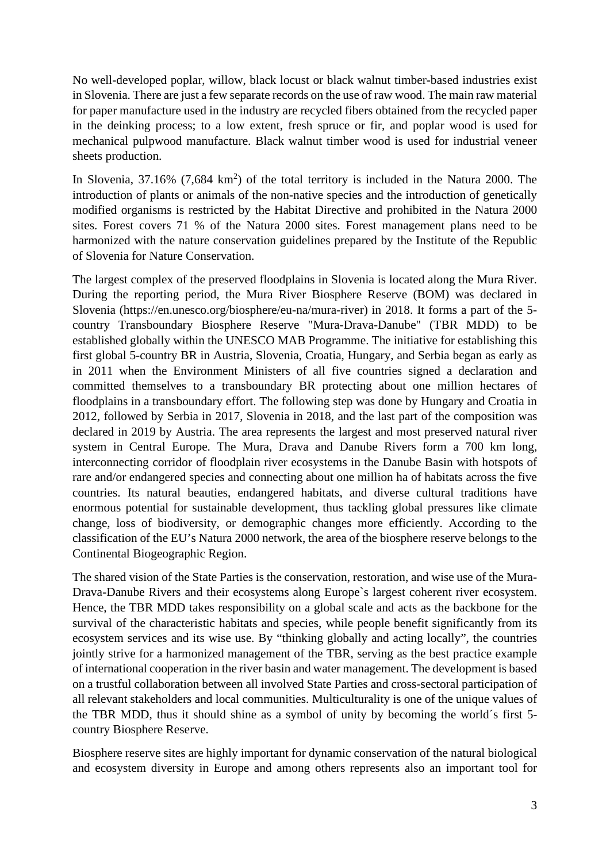No well-developed poplar, willow, black locust or black walnut timber-based industries exist in Slovenia. There are just a few separate records on the use of raw wood. The main raw material for paper manufacture used in the industry are recycled fibers obtained from the recycled paper in the deinking process; to a low extent, fresh spruce or fir, and poplar wood is used for mechanical pulpwood manufacture. Black walnut timber wood is used for industrial veneer sheets production.

In Slovenia,  $37.16\%$  (7,684 km<sup>2</sup>) of the total territory is included in the Natura 2000. The introduction of plants or animals of the non-native species and the introduction of genetically modified organisms is restricted by the Habitat Directive and prohibited in the Natura 2000 sites. Forest covers 71 % of the Natura 2000 sites. Forest management plans need to be harmonized with the nature conservation guidelines prepared by the Institute of the Republic of Slovenia for Nature Conservation.

The largest complex of the preserved floodplains in Slovenia is located along the Mura River. During the reporting period, the Mura River Biosphere Reserve (BOM) was declared in Slovenia [\(https://en.unesco.org/biosphere/eu-na/mura-river\)](https://en.unesco.org/biosphere/eu-na/mura-river) in 2018. It forms a part of the 5 country Transboundary Biosphere Reserve "Mura-Drava-Danube" (TBR MDD) to be established globally within the UNESCO MAB Programme. The initiative for establishing this first global 5-country BR in Austria, Slovenia, Croatia, Hungary, and Serbia began as early as in 2011 when the Environment Ministers of all five countries signed a declaration and committed themselves to a transboundary BR protecting about one million hectares of floodplains in a transboundary effort. The following step was done by Hungary and Croatia in 2012, followed by Serbia in 2017, Slovenia in 2018, and the last part of the composition was declared in 2019 by Austria. The area represents the largest and most preserved natural river system in Central Europe. The Mura, Drava and Danube Rivers form a 700 km long, interconnecting corridor of floodplain river ecosystems in the Danube Basin with hotspots of rare and/or endangered species and connecting about one million ha of habitats across the five countries. Its natural beauties, endangered habitats, and diverse cultural traditions have enormous potential for sustainable development, thus tackling global pressures like climate change, loss of biodiversity, or demographic changes more efficiently. According to the classification of the EU's Natura 2000 network, the area of the biosphere reserve belongs to the Continental Biogeographic Region.

The shared vision of the State Parties is the conservation, restoration, and wise use of the Mura-Drava-Danube Rivers and their ecosystems along Europe`s largest coherent river ecosystem. Hence, the TBR MDD takes responsibility on a global scale and acts as the backbone for the survival of the characteristic habitats and species, while people benefit significantly from its ecosystem services and its wise use. By "thinking globally and acting locally", the countries jointly strive for a harmonized management of the TBR, serving as the best practice example of international cooperation in the river basin and water management. The development is based on a trustful collaboration between all involved State Parties and cross-sectoral participation of all relevant stakeholders and local communities. Multiculturality is one of the unique values of the TBR MDD, thus it should shine as a symbol of unity by becoming the world´s first 5 country Biosphere Reserve.

Biosphere reserve sites are highly important for dynamic conservation of the natural biological and ecosystem diversity in Europe and among others represents also an important tool for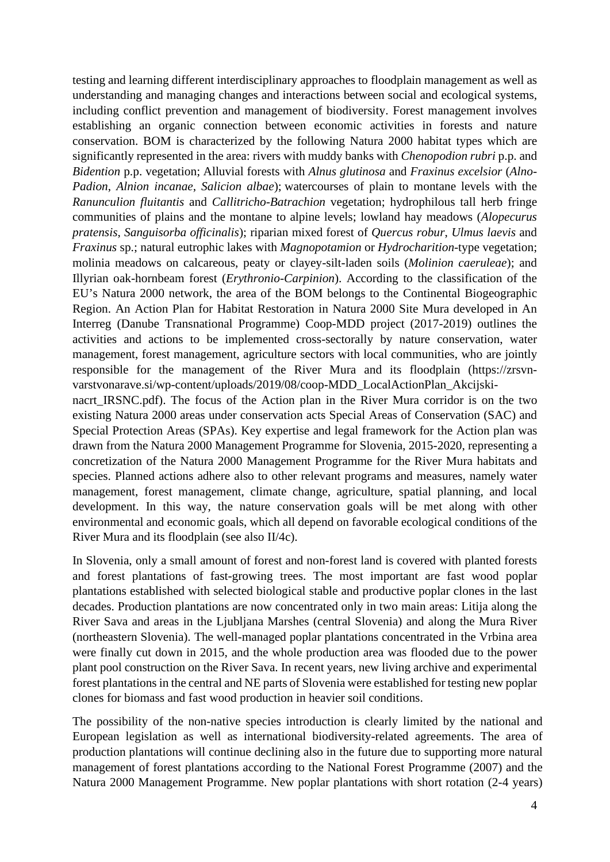testing and learning different interdisciplinary approaches to floodplain management as well as understanding and managing changes and interactions between social and ecological systems, including conflict prevention and management of biodiversity. Forest management involves establishing an organic connection between economic activities in forests and nature conservation. BOM is characterized by the following Natura 2000 habitat types which are significantly represented in the area: rivers with muddy banks with *Chenopodion rubri* p.p. and *Bidention* p.p. vegetation; Alluvial forests with *Alnus glutinosa* and *Fraxinus excelsior* (*Alno-Padion*, *Alnion incanae*, *Salicion albae*); watercourses of plain to montane levels with the *Ranunculion fluitantis* and *Callitricho-Batrachion* vegetation; hydrophilous tall herb fringe communities of plains and the montane to alpine levels; lowland hay meadows (*Alopecurus pratensis*, *Sanguisorba officinalis*); riparian mixed forest of *Quercus robur*, *Ulmus laevis* and *Fraxinus* sp.; natural eutrophic lakes with *Magnopotamion* or *Hydrocharition*-type vegetation; molinia meadows on calcareous, peaty or clayey-silt-laden soils (*Molinion caeruleae*); and Illyrian oak-hornbeam forest (*Erythronio-Carpinion*). According to the classification of the EU's Natura 2000 network, the area of the BOM belongs to the Continental Biogeographic Region. An Action Plan for Habitat Restoration in Natura 2000 Site Mura developed in An Interreg (Danube Transnational Programme) Coop-MDD project (2017-2019) outlines the activities and actions to be implemented cross-sectorally by nature conservation, water management, forest management, agriculture sectors with local communities, who are jointly responsible for the management of the River Mura and its floodplain [\(https://zrsvn](https://zrsvn-varstvonarave.si/wp-content/uploads/2019/08/coop-MDD_LocalActionPlan_Akcijski-nacrt_IRSNC.pdf)[varstvonarave.si/wp-content/uploads/2019/08/coop-MDD\\_LocalActionPlan\\_Akcijski](https://zrsvn-varstvonarave.si/wp-content/uploads/2019/08/coop-MDD_LocalActionPlan_Akcijski-nacrt_IRSNC.pdf)[nacrt\\_IRSNC.pdf\)](https://zrsvn-varstvonarave.si/wp-content/uploads/2019/08/coop-MDD_LocalActionPlan_Akcijski-nacrt_IRSNC.pdf). The focus of the Action plan in the River Mura corridor is on the two

existing Natura 2000 areas under conservation acts Special Areas of Conservation (SAC) and Special Protection Areas (SPAs). Key expertise and legal framework for the Action plan was drawn from the Natura 2000 Management Programme for Slovenia, 2015-2020, representing a concretization of the Natura 2000 Management Programme for the River Mura habitats and species. Planned actions adhere also to other relevant programs and measures, namely water management, forest management, climate change, agriculture, spatial planning, and local development. In this way, the nature conservation goals will be met along with other environmental and economic goals, which all depend on favorable ecological conditions of the River Mura and its floodplain (see also II/4c).

In Slovenia, only a small amount of forest and non-forest land is covered with planted forests and forest plantations of fast-growing trees. The most important are fast wood poplar plantations established with selected biological stable and productive poplar clones in the last decades. Production plantations are now concentrated only in two main areas: Litija along the River Sava and areas in the Ljubljana Marshes (central Slovenia) and along the Mura River (northeastern Slovenia). The well-managed poplar plantations concentrated in the Vrbina area were finally cut down in 2015, and the whole production area was flooded due to the power plant pool construction on the River Sava. In recent years, new living archive and experimental forest plantations in the central and NE parts of Slovenia were established for testing new poplar clones for biomass and fast wood production in heavier soil conditions.

The possibility of the non-native species introduction is clearly limited by the national and European legislation as well as international biodiversity-related agreements. The area of production plantations will continue declining also in the future due to supporting more natural management of forest plantations according to the National Forest Programme (2007) and the Natura 2000 Management Programme. New poplar plantations with short rotation (2-4 years)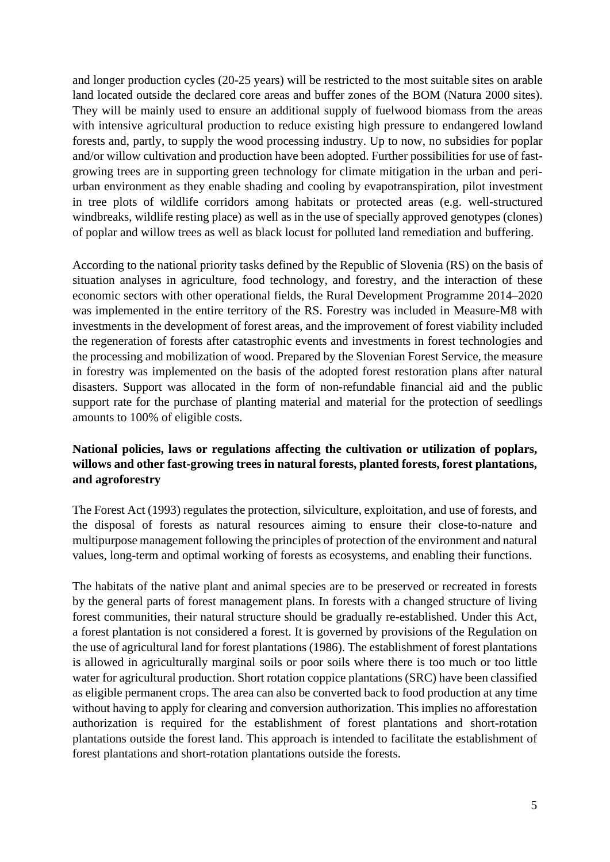and longer production cycles (20-25 years) will be restricted to the most suitable sites on arable land located outside the declared core areas and buffer zones of the BOM (Natura 2000 sites). They will be mainly used to ensure an additional supply of fuelwood biomass from the areas with intensive agricultural production to reduce existing high pressure to endangered lowland forests and, partly, to supply the wood processing industry. Up to now, no subsidies for poplar and/or willow cultivation and production have been adopted. Further possibilities for use of fastgrowing trees are in supporting green technology for climate mitigation in the urban and periurban environment as they enable shading and cooling by evapotranspiration, pilot investment in tree plots of wildlife corridors among habitats or protected areas (e.g. well-structured windbreaks, wildlife resting place) as well as in the use of specially approved genotypes (clones) of poplar and willow trees as well as black locust for polluted land remediation and buffering.

According to the national priority tasks defined by the Republic of Slovenia (RS) on the basis of situation analyses in agriculture, food technology, and forestry, and the interaction of these economic sectors with other operational fields, the Rural Development Programme 2014–2020 was implemented in the entire territory of the RS. Forestry was included in Measure-M8 with investments in the development of forest areas, and the improvement of forest viability included the regeneration of forests after catastrophic events and investments in forest technologies and the processing and mobilization of wood. Prepared by the Slovenian Forest Service, the measure in forestry was implemented on the basis of the adopted forest restoration plans after natural disasters. Support was allocated in the form of non-refundable financial aid and the public support rate for the purchase of planting material and material for the protection of seedlings amounts to 100% of eligible costs.

### **National policies, laws or regulations affecting the cultivation or utilization of poplars, willows and other fast-growing trees in natural forests, planted forests, forest plantations, and agroforestry**

The Forest Act (1993) regulates the protection, silviculture, exploitation, and use of forests, and the disposal of forests as natural resources aiming to ensure their close-to-nature and multipurpose management following the principles of protection of the environment and natural values, long-term and optimal working of forests as ecosystems, and enabling their functions.

The habitats of the native plant and animal species are to be preserved or recreated in forests by the general parts of forest management plans. In forests with a changed structure of living forest communities, their natural structure should be gradually re-established. Under this Act, a forest plantation is not considered a forest. It is governed by provisions of the Regulation on the use of agricultural land for forest plantations (1986). The establishment of forest plantations is allowed in agriculturally marginal soils or poor soils where there is too much or too little water for agricultural production. Short rotation coppice plantations (SRC) have been classified as eligible permanent crops. The area can also be converted back to food production at any time without having to apply for clearing and conversion authorization. This implies no afforestation authorization is required for the establishment of forest plantations and short-rotation plantations outside the forest land. This approach is intended to facilitate the establishment of forest plantations and short-rotation plantations outside the forests.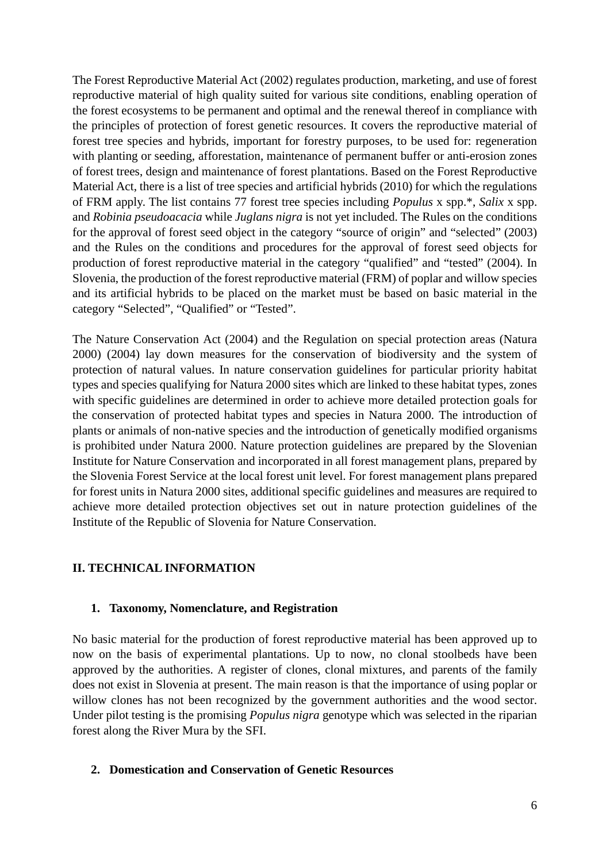The Forest Reproductive Material Act (2002) regulates production, marketing, and use of forest reproductive material of high quality suited for various site conditions, enabling operation of the forest ecosystems to be permanent and optimal and the renewal thereof in compliance with the principles of protection of forest genetic resources. It covers the reproductive material of forest tree species and hybrids, important for forestry purposes, to be used for: regeneration with planting or seeding, afforestation, maintenance of permanent buffer or anti-erosion zones of forest trees, design and maintenance of forest plantations. Based on the Forest Reproductive Material Act, there is a list of tree species and artificial hybrids (2010) for which the regulations of FRM apply. The list contains 77 forest tree species including *Populus* x spp.\*, *Salix* x spp. and *Robinia pseudoacacia* while *Juglans nigra* is not yet included. The Rules on the conditions for the approval of forest seed object in the category "source of origin" and "selected" (2003) and the Rules on the conditions and procedures for the approval of forest seed objects for production of forest reproductive material in the category "qualified" and "tested" (2004). In Slovenia, the production of the forest reproductive material (FRM) of poplar and willow species and its artificial hybrids to be placed on the market must be based on basic material in the category "Selected", "Qualified" or "Tested".

The Nature Conservation Act (2004) and the Regulation on special protection areas (Natura 2000) (2004) lay down measures for the conservation of biodiversity and the system of protection of natural values. In nature conservation guidelines for particular priority habitat types and species qualifying for Natura 2000 sites which are linked to these habitat types, zones with specific guidelines are determined in order to achieve more detailed protection goals for the conservation of protected habitat types and species in Natura 2000. The introduction of plants or animals of non-native species and the introduction of genetically modified organisms is prohibited under Natura 2000. Nature protection guidelines are prepared by the Slovenian Institute for Nature Conservation and incorporated in all forest management plans, prepared by the Slovenia Forest Service at the local forest unit level. For forest management plans prepared for forest units in Natura 2000 sites, additional specific guidelines and measures are required to achieve more detailed protection objectives set out in nature protection guidelines of the Institute of the Republic of Slovenia for Nature Conservation.

#### **II. TECHNICAL INFORMATION**

#### **1. Taxonomy, Nomenclature, and Registration**

No basic material for the production of forest reproductive material has been approved up to now on the basis of experimental plantations. Up to now, no clonal stoolbeds have been approved by the authorities. A register of clones, clonal mixtures, and parents of the family does not exist in Slovenia at present. The main reason is that the importance of using poplar or willow clones has not been recognized by the government authorities and the wood sector. Under pilot testing is the promising *Populus nigra* genotype which was selected in the riparian forest along the River Mura by the SFI.

### **2. Domestication and Conservation of Genetic Resources**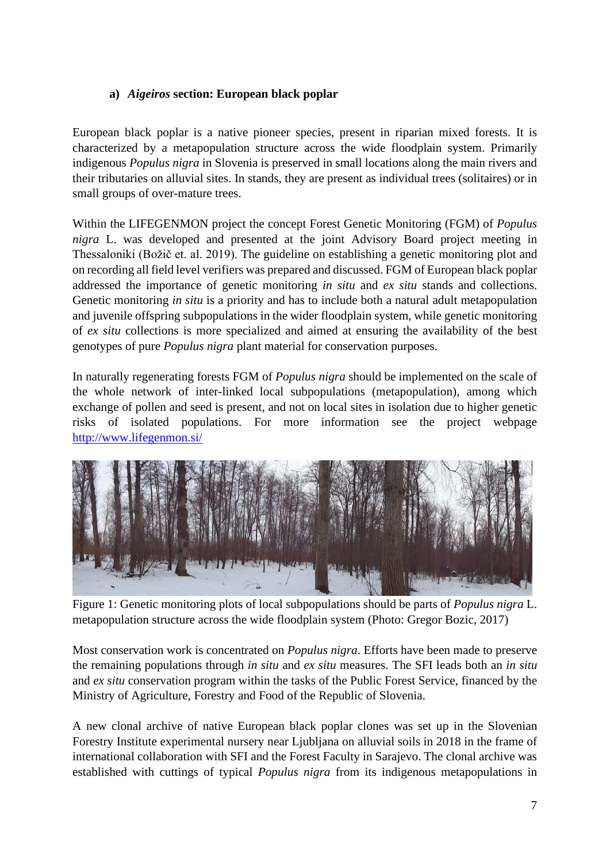### **a)** *Aigeiros* **section: European black poplar**

European black poplar is a native pioneer species, present in riparian mixed forests. It is characterized by a metapopulation structure across the wide floodplain system. Primarily indigenous *Populus nigra* in Slovenia is preserved in small locations along the main rivers and their tributaries on alluvial sites. In stands, they are present as individual trees (solitaires) or in small groups of over-mature trees.

Within the LIFEGENMON project the concept Forest Genetic Monitoring (FGM) of *Populus nigra* L. was developed and presented at the joint Advisory Board project meeting in Thessaloniki (Božič et. al. 2019). The guideline on establishing a genetic monitoring plot and on recording all field level verifiers was prepared and discussed. FGM of European black poplar addressed the importance of genetic monitoring *in situ* and *ex situ* stands and collections. Genetic monitoring *in situ* is a priority and has to include both a natural adult metapopulation and juvenile offspring subpopulations in the wider floodplain system, while genetic monitoring of *ex situ* collections is more specialized and aimed at ensuring the availability of the best genotypes of pure *Populus nigra* plant material for conservation purposes.

In naturally regenerating forests FGM of *Populus nigra* should be implemented on the scale of the whole network of inter-linked local subpopulations (metapopulation), among which exchange of pollen and seed is present, and not on local sites in isolation due to higher genetic risks of isolated populations. For more information see the project webpage <http://www.lifegenmon.si/>



Figure 1: Genetic monitoring plots of local subpopulations should be parts of *Populus nigra* L. metapopulation structure across the wide floodplain system (Photo: Gregor Bozic, 2017)

Most conservation work is concentrated on *Populus nigra*. Efforts have been made to preserve the remaining populations through *in situ* and *ex situ* measures. The SFI leads both an *in situ* and *ex situ* conservation program within the tasks of the Public Forest Service, financed by the Ministry of Agriculture, Forestry and Food of the Republic of Slovenia.

A new clonal archive of native European black poplar clones was set up in the Slovenian Forestry Institute experimental nursery near Ljubljana on alluvial soils in 2018 in the frame of international collaboration with SFI and the Forest Faculty in Sarajevo. The clonal archive was established with cuttings of typical *Populus nigra* from its indigenous metapopulations in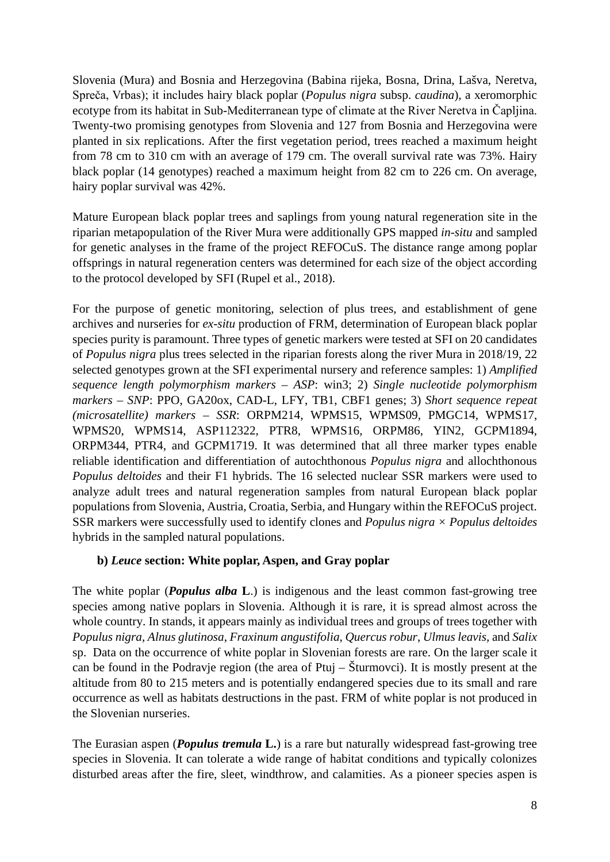Slovenia (Mura) and Bosnia and Herzegovina (Babina rijeka, Bosna, Drina, Lašva, Neretva, Spreča, Vrbas); it includes hairy black poplar (*Populus nigra* subsp. *caudina*), a xeromorphic ecotype from its habitat in Sub-Mediterranean type of climate at the River Neretva in Čapljina. Twenty-two promising genotypes from Slovenia and 127 from Bosnia and Herzegovina were planted in six replications. After the first vegetation period, trees reached a maximum height from 78 cm to 310 cm with an average of 179 cm. The overall survival rate was 73%. Hairy black poplar (14 genotypes) reached a maximum height from 82 cm to 226 cm. On average, hairy poplar survival was 42%.

Mature European black poplar trees and saplings from young natural regeneration site in the riparian metapopulation of the River Mura were additionally GPS mapped *in-situ* and sampled for genetic analyses in the frame of the project REFOCuS. The distance range among poplar offsprings in natural regeneration centers was determined for each size of the object according to the protocol developed by SFI (Rupel et al., 2018).

For the purpose of genetic monitoring, selection of plus trees, and establishment of gene archives and nurseries for *ex-situ* production of FRM, determination of European black poplar species purity is paramount. Three types of genetic markers were tested at SFI on 20 candidates of *Populus nigra* plus trees selected in the riparian forests along the river Mura in 2018/19, 22 selected genotypes grown at the SFI experimental nursery and reference samples: 1) *Amplified sequence length polymorphism markers – ASP*: win3; 2) *Single nucleotide polymorphism markers – SNP*: PPO, GA20ox, CAD-L, LFY, TB1, CBF1 genes; 3) *Short sequence repeat (microsatellite) markers – SSR*: ORPM214, WPMS15, WPMS09, PMGC14, WPMS17, WPMS20, WPMS14, ASP112322, PTR8, WPMS16, ORPM86, YIN2, GCPM1894, ORPM344, PTR4, and GCPM1719. It was determined that all three marker types enable reliable identification and differentiation of autochthonous *Populus nigra* and allochthonous *Populus deltoides* and their F1 hybrids. The 16 selected nuclear SSR markers were used to analyze adult trees and natural regeneration samples from natural European black poplar populations from Slovenia, Austria, Croatia, Serbia, and Hungary within the REFOCuS project. SSR markers were successfully used to identify clones and *Populus nigra × Populus deltoides* hybrids in the sampled natural populations.

#### **b)** *Leuce* **section: White poplar, Aspen, and Gray poplar**

The white poplar (*Populus alba* **L**.) is indigenous and the least common fast-growing tree species among native poplars in Slovenia. Although it is rare, it is spread almost across the whole country. In stands, it appears mainly as individual trees and groups of trees together with *Populus nigra*, *Alnus glutinosa*, *Fraxinum angustifolia*, *Quercus robur*, *Ulmus leavis,* and *Salix* sp. Data on the occurrence of white poplar in Slovenian forests are rare. On the larger scale it can be found in the Podravje region (the area of Ptuj – Šturmovci). It is mostly present at the altitude from 80 to 215 meters and is potentially endangered species due to its small and rare occurrence as well as habitats destructions in the past. FRM of white poplar is not produced in the Slovenian nurseries.

The Eurasian aspen (*Populus tremula* **L.**) is a rare but naturally widespread fast-growing tree species in Slovenia. It can tolerate a wide range of habitat conditions and typically colonizes disturbed areas after the fire, sleet, windthrow, and calamities. As a pioneer species aspen is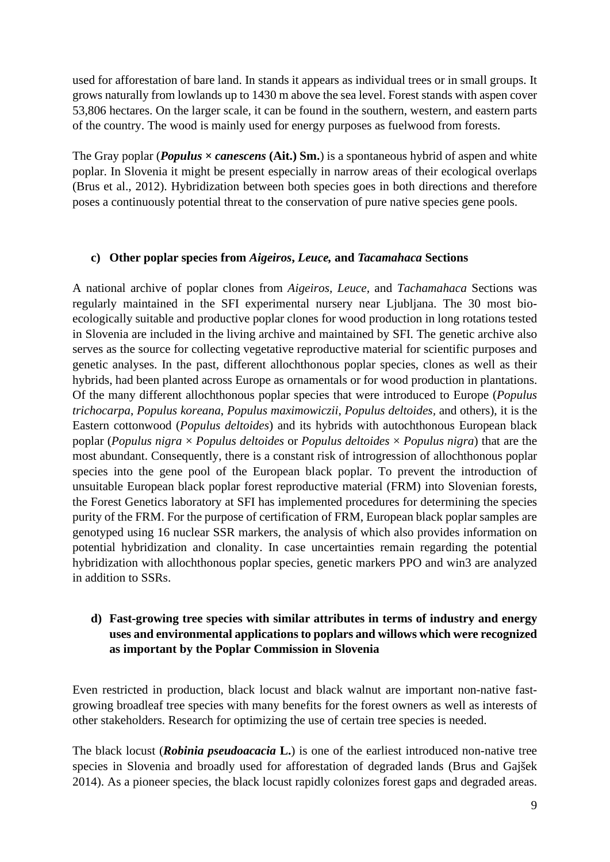used for afforestation of bare land. In stands it appears as individual trees or in small groups. It grows naturally from lowlands up to 1430 m above the sea level. Forest stands with aspen cover 53,806 hectares. On the larger scale, it can be found in the southern, western, and eastern parts of the country. The wood is mainly used for energy purposes as fuelwood from forests.

The Gray poplar (*Populus*  $\times$  *canescens* (Ait.) Sm.) is a spontaneous hybrid of aspen and white poplar. In Slovenia it might be present especially in narrow areas of their ecological overlaps (Brus et al., 2012). Hybridization between both species goes in both directions and therefore poses a continuously potential threat to the conservation of pure native species gene pools.

#### **c) Other poplar species from** *Aigeiros***,** *Leuce,* **and** *Tacamahaca* **Sections**

A national archive of poplar clones from *Aigeiros, Leuce,* and *Tachamahaca* Sections was regularly maintained in the SFI experimental nursery near Ljubljana. The 30 most bioecologically suitable and productive poplar clones for wood production in long rotations tested in Slovenia are included in the living archive and maintained by SFI. The genetic archive also serves as the source for collecting vegetative reproductive material for scientific purposes and genetic analyses. In the past, different allochthonous poplar species, clones as well as their hybrids, had been planted across Europe as ornamentals or for wood production in plantations. Of the many different allochthonous poplar species that were introduced to Europe (*Populus trichocarpa*, *Populus koreana*, *Populus maximowiczii*, *Populus deltoides,* and others), it is the Eastern cottonwood (*Populus deltoides*) and its hybrids with autochthonous European black poplar (*Populus nigra* × *Populus deltoides* or *Populus deltoides* × *Populus nigra*) that are the most abundant. Consequently, there is a constant risk of introgression of allochthonous poplar species into the gene pool of the European black poplar. To prevent the introduction of unsuitable European black poplar forest reproductive material (FRM) into Slovenian forests, the Forest Genetics laboratory at SFI has implemented procedures for determining the species purity of the FRM. For the purpose of certification of FRM, European black poplar samples are genotyped using 16 nuclear SSR markers, the analysis of which also provides information on potential hybridization and clonality. In case uncertainties remain regarding the potential hybridization with allochthonous poplar species, genetic markers PPO and win3 are analyzed in addition to SSRs.

### **d) Fast-growing tree species with similar attributes in terms of industry and energy uses and environmental applications to poplars and willows which were recognized as important by the Poplar Commission in Slovenia**

Even restricted in production, black locust and black walnut are important non-native fastgrowing broadleaf tree species with many benefits for the forest owners as well as interests of other stakeholders. Research for optimizing the use of certain tree species is needed.

The black locust (*Robinia pseudoacacia* **L.**) is one of the earliest introduced non-native tree species in Slovenia and broadly used for afforestation of degraded lands (Brus and Gajšek 2014). As a pioneer species, the black locust rapidly colonizes forest gaps and degraded areas.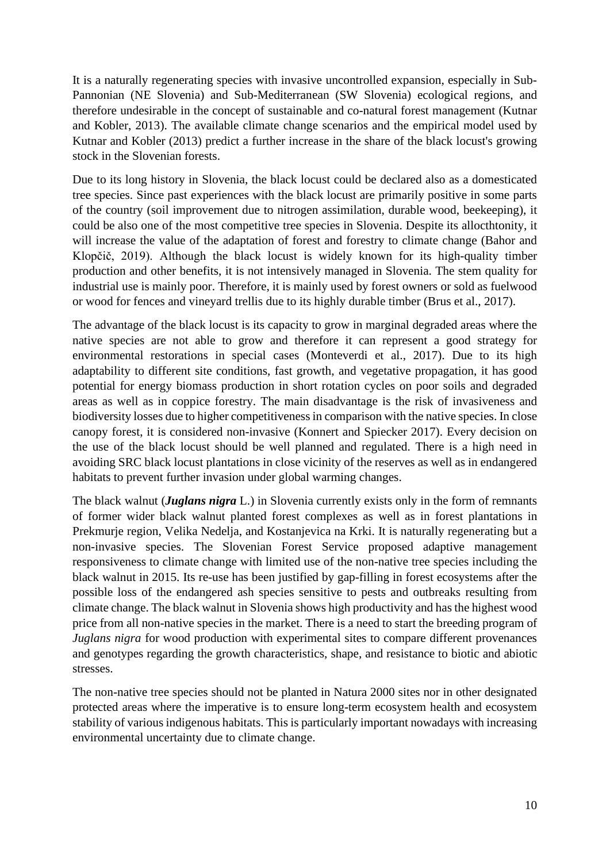It is a naturally regenerating species with invasive uncontrolled expansion, especially in Sub-Pannonian (NE Slovenia) and Sub-Mediterranean (SW Slovenia) ecological regions, and therefore undesirable in the concept of sustainable and co-natural forest management (Kutnar and Kobler, 2013). The available climate change scenarios and the empirical model used by Kutnar and Kobler (2013) predict a further increase in the share of the black locust's growing stock in the Slovenian forests.

Due to its long history in Slovenia, the black locust could be declared also as a domesticated tree species. Since past experiences with the black locust are primarily positive in some parts of the country (soil improvement due to nitrogen assimilation, durable wood, beekeeping), it could be also one of the most competitive tree species in Slovenia. Despite its allocthtonity, it will increase the value of the adaptation of forest and forestry to climate change (Bahor and Klopčič, 2019). Although the black locust is widely known for its high-quality timber production and other benefits, it is not intensively managed in Slovenia. The stem quality for industrial use is mainly poor. Therefore, it is mainly used by forest owners or sold as fuelwood or wood for fences and vineyard trellis due to its highly durable timber (Brus et al., 2017).

The advantage of the black locust is its capacity to grow in marginal degraded areas where the native species are not able to grow and therefore it can represent a good strategy for environmental restorations in special cases (Monteverdi et al., 2017). Due to its high adaptability to different site conditions, fast growth, and vegetative propagation, it has good potential for energy biomass production in short rotation cycles on poor soils and degraded areas as well as in coppice forestry. The main disadvantage is the risk of invasiveness and biodiversity losses due to higher competitiveness in comparison with the native species. In close canopy forest, it is considered non-invasive (Konnert and Spiecker 2017). Every decision on the use of the black locust should be well planned and regulated. There is a high need in avoiding SRC black locust plantations in close vicinity of the reserves as well as in endangered habitats to prevent further invasion under global warming changes.

The black walnut (*Juglans nigra* L.) in Slovenia currently exists only in the form of remnants of former wider black walnut planted forest complexes as well as in forest plantations in Prekmurje region, Velika Nedelja, and Kostanjevica na Krki. It is naturally regenerating but a non-invasive species. The Slovenian Forest Service proposed adaptive management responsiveness to climate change with limited use of the non-native tree species including the black walnut in 2015. Its re-use has been justified by gap-filling in forest ecosystems after the possible loss of the endangered ash species sensitive to pests and outbreaks resulting from climate change. The black walnut in Slovenia shows high productivity and has the highest wood price from all non-native species in the market. There is a need to start the breeding program of *Juglans nigra* for wood production with experimental sites to compare different provenances and genotypes regarding the growth characteristics, shape, and resistance to biotic and abiotic stresses.

The non-native tree species should not be planted in Natura 2000 sites nor in other designated protected areas where the imperative is to ensure long-term ecosystem health and ecosystem stability of various indigenous habitats. This is particularly important nowadays with increasing environmental uncertainty due to climate change.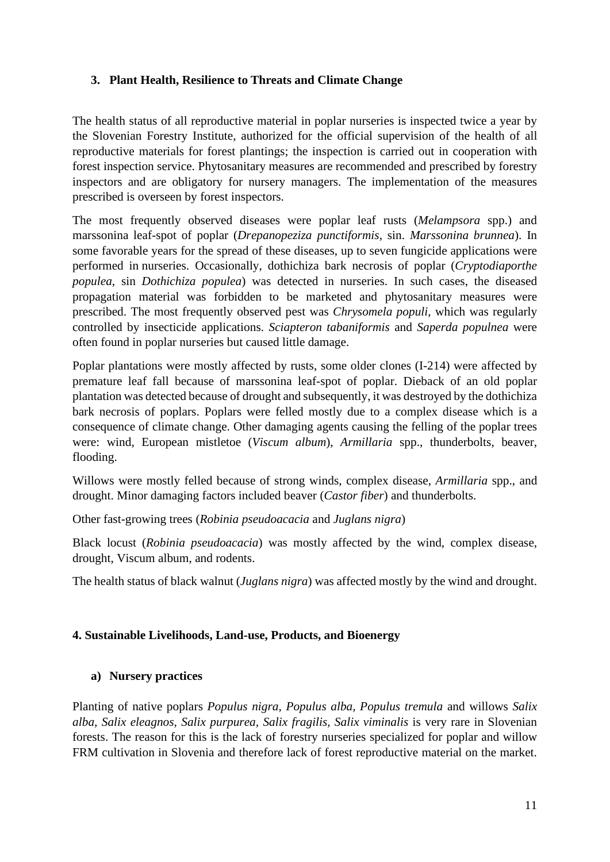### **3. Plant Health, Resilience to Threats and Climate Change**

The health status of all reproductive material in poplar nurseries is inspected twice a year by the Slovenian Forestry Institute, authorized for the official supervision of the health of all reproductive materials for forest plantings; the inspection is carried out in cooperation with forest inspection service. Phytosanitary measures are recommended and prescribed by forestry inspectors and are obligatory for nursery managers. The implementation of the measures prescribed is overseen by forest inspectors.

The most frequently observed diseases were poplar leaf rusts (*Melampsora* spp.) and marssonina leaf-spot of poplar (*Drepanopeziza punctiformis*, sin. *Marssonina brunnea*). In some favorable years for the spread of these diseases, up to seven fungicide applications were performed in nurseries. Occasionally, dothichiza bark necrosis of poplar (*Cryptodiaporthe populea*, sin *Dothichiza populea*) was detected in nurseries. In such cases, the diseased propagation material was forbidden to be marketed and phytosanitary measures were prescribed. The most frequently observed pest was *Chrysomela populi*, which was regularly controlled by insecticide applications. *Sciapteron tabaniformis* and *Saperda populnea* were often found in poplar nurseries but caused little damage.

Poplar plantations were mostly affected by rusts, some older clones (I-214) were affected by premature leaf fall because of marssonina leaf-spot of poplar. Dieback of an old poplar plantation was detected because of drought and subsequently, it was destroyed by the dothichiza bark necrosis of poplars. Poplars were felled mostly due to a complex disease which is a consequence of climate change. Other damaging agents causing the felling of the poplar trees were: wind, European mistletoe (*Viscum album*), *Armillaria* spp., thunderbolts, beaver, flooding.

Willows were mostly felled because of strong winds, complex disease, *Armillaria* spp., and drought. Minor damaging factors included beaver (*Castor fiber*) and thunderbolts.

Other fast-growing trees (*Robinia pseudoacacia* and *Juglans nigra*)

Black locust (*Robinia pseudoacacia*) was mostly affected by the wind, complex disease, drought, Viscum album, and rodents.

The health status of black walnut (*Juglans nigra*) was affected mostly by the wind and drought.

#### **4. Sustainable Livelihoods, Land-use, Products, and Bioenergy**

### **a) Nursery practices**

Planting of native poplars *Populus nigra, Populus alba, Populus tremula* and willows *Salix alba, Salix eleagnos, Salix purpurea, Salix fragilis, Salix viminalis* is very rare in Slovenian forests. The reason for this is the lack of forestry nurseries specialized for poplar and willow FRM cultivation in Slovenia and therefore lack of forest reproductive material on the market.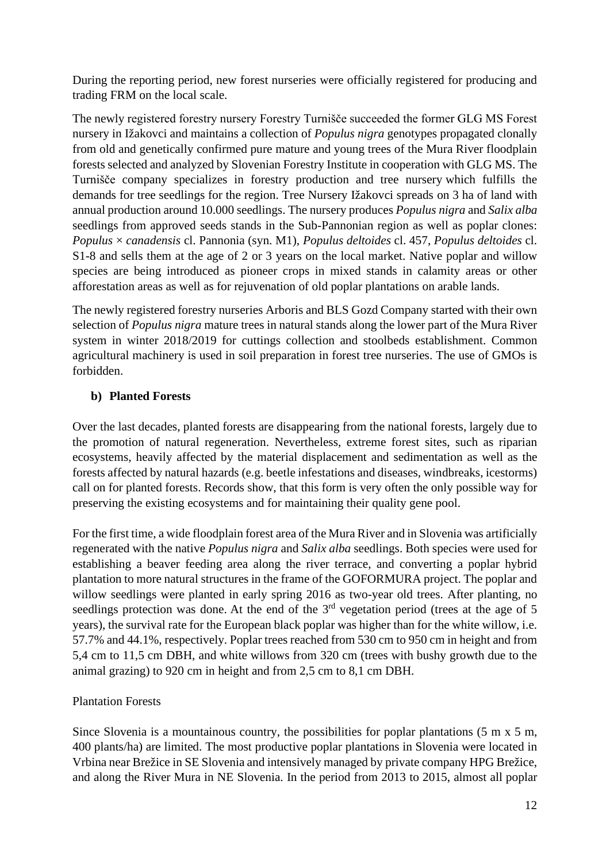During the reporting period, new forest nurseries were officially registered for producing and trading FRM on the local scale.

The newly registered forestry nursery Forestry Turnišče succeeded the former GLG MS Forest nursery in Ižakovci and maintains a collection of *Populus nigra* genotypes propagated clonally from old and genetically confirmed pure mature and young trees of the Mura River floodplain forests selected and analyzed by Slovenian Forestry Institute in cooperation with GLG MS. The Turnišče company specializes in forestry production and tree nursery which fulfills the demands for tree seedlings for the region. Tree Nursery Ižakovci spreads on 3 ha of land with annual production around 10.000 seedlings. The nursery produces *Populus nigra* and *Salix alba* seedlings from approved seeds stands in the Sub-Pannonian region as well as poplar clones: *Populus* × *canadensis* cl. Pannonia (syn. M1), *Populus deltoides* cl. 457, *Populus deltoides* cl. S1-8 and sells them at the age of 2 or 3 years on the local market. Native poplar and willow species are being introduced as pioneer crops in mixed stands in calamity areas or other afforestation areas as well as for rejuvenation of old poplar plantations on arable lands.

The newly registered forestry nurseries Arboris and BLS Gozd Company started with their own selection of *Populus nigra* mature trees in natural stands along the lower part of the Mura River system in winter 2018/2019 for cuttings collection and stoolbeds establishment. Common agricultural machinery is used in soil preparation in forest tree nurseries. The use of GMOs is forbidden.

### **b) Planted Forests**

Over the last decades, planted forests are disappearing from the national forests, largely due to the promotion of natural regeneration. Nevertheless, extreme forest sites, such as riparian ecosystems, heavily affected by the material displacement and sedimentation as well as the forests affected by natural hazards (e.g. beetle infestations and diseases, windbreaks, icestorms) call on for planted forests. Records show, that this form is very often the only possible way for preserving the existing ecosystems and for maintaining their quality gene pool.

For the first time, a wide floodplain forest area of the Mura River and in Slovenia was artificially regenerated with the native *Populus nigra* and *Salix alba* seedlings. Both species were used for establishing a beaver feeding area along the river terrace, and converting a poplar hybrid plantation to more natural structures in the frame of the GOFORMURA project. The poplar and willow seedlings were planted in early spring 2016 as two-year old trees. After planting, no seedlings protection was done. At the end of the 3<sup>rd</sup> vegetation period (trees at the age of 5 years), the survival rate for the European black poplar was higher than for the white willow, i.e. 57.7% and 44.1%, respectively. Poplar trees reached from 530 cm to 950 cm in height and from 5,4 cm to 11,5 cm DBH, and white willows from 320 cm (trees with bushy growth due to the animal grazing) to 920 cm in height and from 2,5 cm to 8,1 cm DBH.

# Plantation Forests

Since Slovenia is a mountainous country, the possibilities for poplar plantations  $(5 \text{ m x } 5 \text{ m}$ , 400 plants/ha) are limited. The most productive poplar plantations in Slovenia were located in Vrbina near Brežice in SE Slovenia and intensively managed by private company HPG Brežice, and along the River Mura in NE Slovenia. In the period from 2013 to 2015, almost all poplar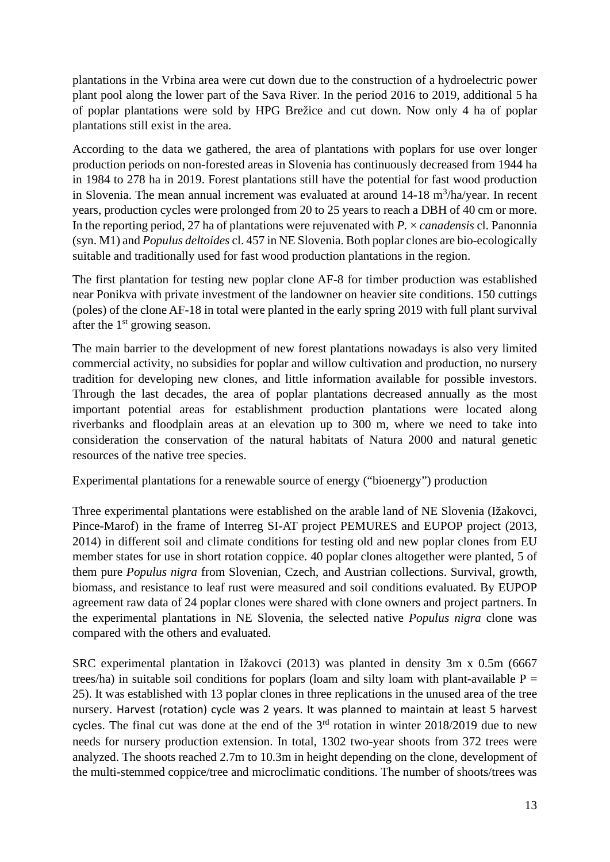plantations in the Vrbina area were cut down due to the construction of a hydroelectric power plant pool along the lower part of the Sava River. In the period 2016 to 2019, additional 5 ha of poplar plantations were sold by HPG Brežice and cut down. Now only 4 ha of poplar plantations still exist in the area.

According to the data we gathered, the area of plantations with poplars for use over longer production periods on non-forested areas in Slovenia has continuously decreased from 1944 ha in 1984 to 278 ha in 2019. Forest plantations still have the potential for fast wood production in Slovenia. The mean annual increment was evaluated at around  $14-18$  m<sup>3</sup>/ha/year. In recent years, production cycles were prolonged from 20 to 25 years to reach a DBH of 40 cm or more. In the reporting period, 27 ha of plantations were rejuvenated with *P.* × *canadensis* cl. Panonnia (syn. M1) and *Populus deltoides* cl. 457 in NE Slovenia. Both poplar clones are bio-ecologically suitable and traditionally used for fast wood production plantations in the region.

The first plantation for testing new poplar clone AF-8 for timber production was established near Ponikva with private investment of the landowner on heavier site conditions. 150 cuttings (poles) of the clone AF-18 in total were planted in the early spring 2019 with full plant survival after the  $1<sup>st</sup>$  growing season.

The main barrier to the development of new forest plantations nowadays is also very limited commercial activity, no subsidies for poplar and willow cultivation and production, no nursery tradition for developing new clones, and little information available for possible investors. Through the last decades, the area of poplar plantations decreased annually as the most important potential areas for establishment production plantations were located along riverbanks and floodplain areas at an elevation up to 300 m, where we need to take into consideration the conservation of the natural habitats of Natura 2000 and natural genetic resources of the native tree species.

Experimental plantations for a renewable source of energy ("bioenergy") production

Three experimental plantations were established on the arable land of NE Slovenia (Ižakovci, Pince-Marof) in the frame of Interreg SI-AT project PEMURES and EUPOP project (2013, 2014) in different soil and climate conditions for testing old and new poplar clones from EU member states for use in short rotation coppice. 40 poplar clones altogether were planted, 5 of them pure *Populus nigra* from Slovenian, Czech, and Austrian collections. Survival, growth, biomass, and resistance to leaf rust were measured and soil conditions evaluated. By EUPOP agreement raw data of 24 poplar clones were shared with clone owners and project partners. In the experimental plantations in NE Slovenia, the selected native *Populus nigra* clone was compared with the others and evaluated.

SRC experimental plantation in Ižakovci (2013) was planted in density 3m x 0.5m (6667 trees/ha) in suitable soil conditions for poplars (loam and silty loam with plant-available  $P =$ 25). It was established with 13 poplar clones in three replications in the unused area of the tree nursery. Harvest (rotation) cycle was 2 years. It was planned to maintain at least 5 harvest cycles. The final cut was done at the end of the  $3<sup>rd</sup>$  rotation in winter 2018/2019 due to new needs for nursery production extension. In total, 1302 two-year shoots from 372 trees were analyzed. The shoots reached 2.7m to 10.3m in height depending on the clone, development of the multi-stemmed coppice/tree and microclimatic conditions. The number of shoots/trees was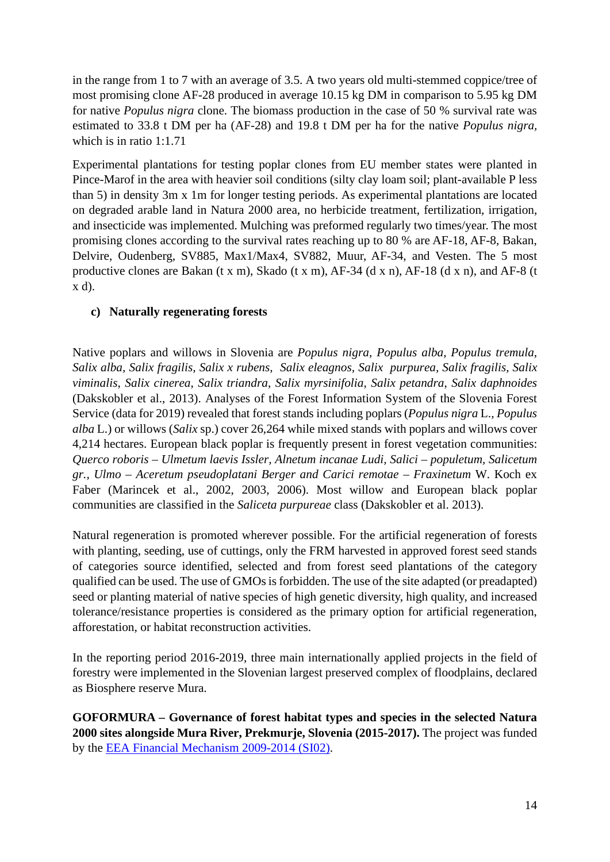in the range from 1 to 7 with an average of 3.5. A two years old multi-stemmed coppice/tree of most promising clone AF-28 produced in average 10.15 kg DM in comparison to 5.95 kg DM for native *Populus nigra* clone. The biomass production in the case of 50 % survival rate was estimated to 33.8 t DM per ha (AF-28) and 19.8 t DM per ha for the native *Populus nigra,* which is in ratio 1:1.71

Experimental plantations for testing poplar clones from EU member states were planted in Pince-Marof in the area with heavier soil conditions (silty clay loam soil; plant-available P less than 5) in density 3m x 1m for longer testing periods. As experimental plantations are located on degraded arable land in Natura 2000 area, no herbicide treatment, fertilization, irrigation, and insecticide was implemented. Mulching was preformed regularly two times/year. The most promising clones according to the survival rates reaching up to 80 % are AF-18, AF-8, Bakan, Delvire, Oudenberg, SV885, Max1/Max4, SV882, Muur, AF-34, and Vesten. The 5 most productive clones are Bakan (t x m), Skado (t x m), AF-34 (d x n), AF-18 (d x n), and AF-8 (t x d).

### **c) Naturally regenerating forests**

Native poplars and willows in Slovenia are *Populus nigra*, *Populus alba*, *Populus tremula*, *Salix alba, Salix fragilis, Salix x rubens, Salix eleagnos, Salix purpurea, Salix fragilis, Salix viminalis*, *Salix cinerea*, *Salix triandra*, *Salix myrsinifolia*, *Salix petandra*, *Salix daphnoides* (Dakskobler et al., 2013). Analyses of the Forest Information System of the Slovenia Forest Service (data for 2019) revealed that forest stands including poplars (*Populus nigra* L.*, Populus alba* L.) or willows (*Salix* sp.) cover 26,264 while mixed stands with poplars and willows cover 4,214 hectares. European black poplar is frequently present in forest vegetation communities: *Querco roboris – Ulmetum laevis Issler, Alnetum incanae Ludi, Salici – populetum, Salicetum gr., Ulmo – Aceretum pseudoplatani Berger and Carici remotae – Fraxinetum* W. Koch ex Faber (Marincek et al., 2002, 2003, 2006). Most willow and European black poplar communities are classified in the *Saliceta purpureae* class (Dakskobler et al. 2013).

Natural regeneration is promoted wherever possible. For the artificial regeneration of forests with planting, seeding, use of cuttings, only the FRM harvested in approved forest seed stands of categories source identified, selected and from forest seed plantations of the category qualified can be used. The use of GMOs is forbidden. The use of the site adapted (or preadapted) seed or planting material of native species of high genetic diversity, high quality, and increased tolerance/resistance properties is considered as the primary option for artificial regeneration, afforestation, or habitat reconstruction activities.

In the reporting period 2016-2019, three main internationally applied projects in the field of forestry were implemented in the Slovenian largest preserved complex of floodplains, declared as Biosphere reserve Mura.

**GOFORMURA – Governance of forest habitat types and species in the selected Natura 2000 sites alongside Mura River, Prekmurje, Slovenia (2015-2017).** The project was funded by the [EEA Financial Mechanism 2009-2014 \(SI02\).](http://www.eeagrants.org/)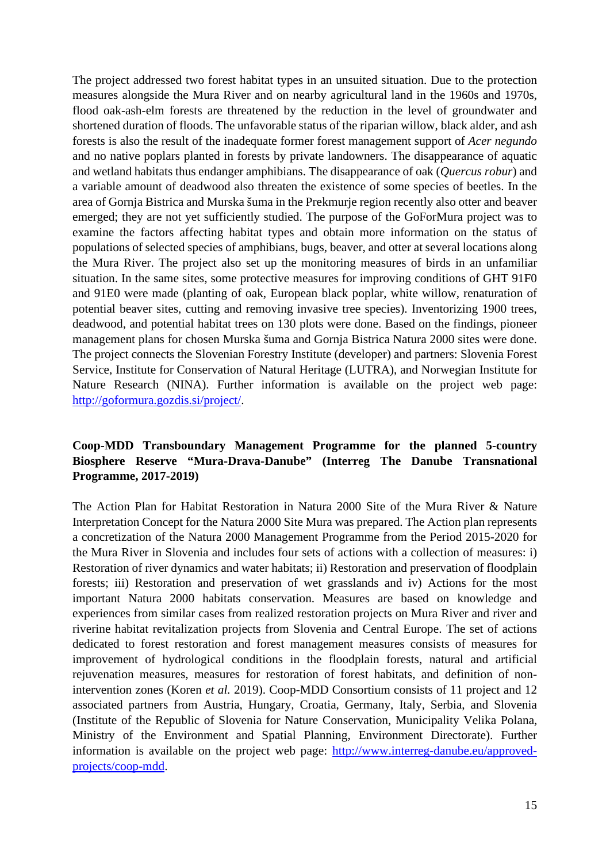The project addressed two forest habitat types in an unsuited situation. Due to the protection measures alongside the Mura River and on nearby agricultural land in the 1960s and 1970s, flood oak-ash-elm forests are threatened by the reduction in the level of groundwater and shortened duration of floods. The unfavorable status of the riparian willow, black alder, and ash forests is also the result of the inadequate former forest management support of *Acer negundo* and no native poplars planted in forests by private landowners. The disappearance of aquatic and wetland habitats thus endanger amphibians. The disappearance of oak (*Quercus robur*) and a variable amount of deadwood also threaten the existence of some species of beetles. In the area of Gornja Bistrica and Murska šuma in the Prekmurje region recently also otter and beaver emerged; they are not yet sufficiently studied. The purpose of the GoForMura project was to examine the factors affecting habitat types and obtain more information on the status of populations of selected species of amphibians, bugs, beaver, and otter at several locations along the Mura River. The project also set up the monitoring measures of birds in an unfamiliar situation. In the same sites, some protective measures for improving conditions of GHT 91F0 and 91E0 were made (planting of oak, European black poplar, white willow, renaturation of potential beaver sites, cutting and removing invasive tree species). Inventorizing 1900 trees, deadwood, and potential habitat trees on 130 plots were done. Based on the findings, pioneer management plans for chosen Murska šuma and Gornja Bistrica Natura 2000 sites were done. The project connects the Slovenian Forestry Institute (developer) and partners: Slovenia Forest Service, Institute for Conservation of Natural Heritage (LUTRA), and Norwegian Institute for Nature Research (NINA). Further information is available on the project web page: [http://goformura.gozdis.si/project/.](http://goformura.gozdis.si/project/)

### **Coop-MDD Transboundary Management Programme for the planned 5-country Biosphere Reserve "Mura-Drava-Danube" (Interreg The Danube Transnational Programme, 2017-2019)**

The Action Plan for Habitat Restoration in Natura 2000 Site of the Mura River & [Nature](http://www.interreg-danube.eu/uploads/media/approved_project_output/0001/34/cb34e9eca47d6eef3ecdd501c7aedd6bf65ac886.pdf)  [Interpretation Concept for the Natura 2000 Site Mura](http://www.interreg-danube.eu/uploads/media/approved_project_output/0001/34/cb34e9eca47d6eef3ecdd501c7aedd6bf65ac886.pdf) was prepared. The Action plan represents a concretization of the Natura 2000 Management Programme from the Period 2015-2020 for the Mura River in Slovenia and includes four sets of actions with a collection of measures: i) Restoration of river dynamics and water habitats; ii) Restoration and preservation of floodplain forests; iii) Restoration and preservation of wet grasslands and iv) Actions for the most important Natura 2000 habitats conservation. Measures are based on knowledge and experiences from similar cases from realized restoration projects on Mura River and river and riverine habitat revitalization projects from Slovenia and Central Europe. The set of actions dedicated to forest restoration and forest management measures consists of measures for improvement of hydrological conditions in the floodplain forests, natural and artificial rejuvenation measures, measures for restoration of forest habitats, and definition of nonintervention zones (Koren *et al.* 2019). Coop-MDD Consortium consists of 11 project and 12 associated partners from Austria, Hungary, Croatia, Germany, Italy, Serbia, and Slovenia (Institute of the Republic of Slovenia for Nature Conservation, Municipality Velika Polana, Ministry of the Environment and Spatial Planning, Environment Directorate). Further information is available on the project web page: [http://www.interreg-danube.eu/approved](http://www.interreg-danube.eu/approved-projects/coop-mdd)[projects/coop-mdd.](http://www.interreg-danube.eu/approved-projects/coop-mdd)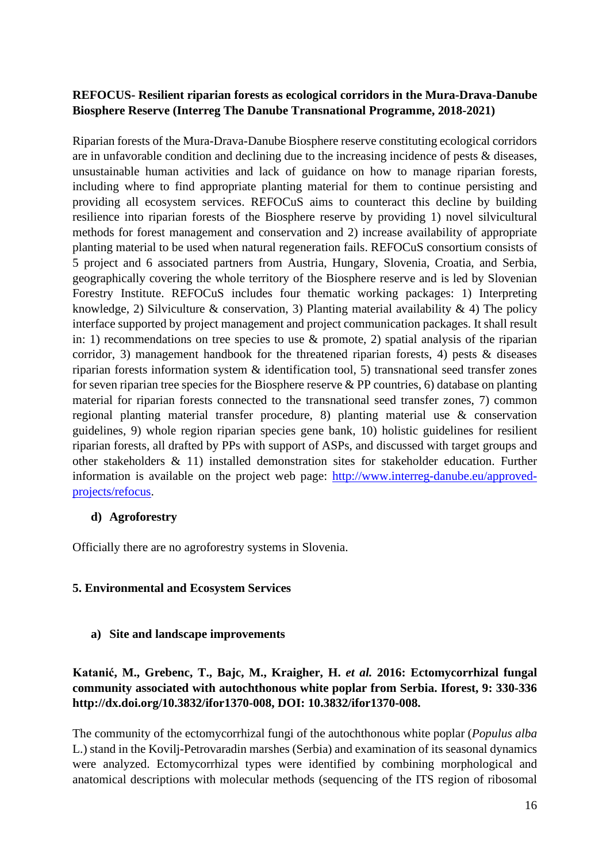### **REFOCUS- Resilient riparian forests as ecological corridors in the Mura-Drava-Danube Biosphere Reserve (Interreg The Danube Transnational Programme, 2018-2021)**

Riparian forests of the Mura-Drava-Danube Biosphere reserve constituting ecological corridors are in unfavorable condition and declining due to the increasing incidence of pests & diseases, unsustainable human activities and lack of guidance on how to manage riparian forests, including where to find appropriate planting material for them to continue persisting and providing all ecosystem services. REFOCuS aims to counteract this decline by building resilience into riparian forests of the Biosphere reserve by providing 1) novel silvicultural methods for forest management and conservation and 2) increase availability of appropriate planting material to be used when natural regeneration fails. REFOCuS consortium consists of 5 project and 6 associated partners from Austria, Hungary, Slovenia, Croatia, and Serbia, geographically covering the whole territory of the Biosphere reserve and is led by Slovenian Forestry Institute. REFOCuS includes four thematic working packages: 1) Interpreting knowledge, 2) Silviculture & conservation, 3) Planting material availability & 4) The policy interface supported by project management and project communication packages. It shall result in: 1) recommendations on tree species to use  $\&$  promote, 2) spatial analysis of the riparian corridor, 3) management handbook for the threatened riparian forests, 4) pests  $\&$  diseases riparian forests information system & identification tool, 5) transnational seed transfer zones for seven riparian tree species for the Biosphere reserve  $\&$  PP countries, 6) database on planting material for riparian forests connected to the transnational seed transfer zones, 7) common regional planting material transfer procedure, 8) planting material use & conservation guidelines, 9) whole region riparian species gene bank, 10) holistic guidelines for resilient riparian forests, all drafted by PPs with support of ASPs, and discussed with target groups and other stakeholders & 11) installed demonstration sites for stakeholder education. Further information is available on the project web page: [http://www.interreg-danube.eu/approved](http://www.interreg-danube.eu/approved-projects/refocus)[projects/refocus.](http://www.interreg-danube.eu/approved-projects/refocus)

#### **d) Agroforestry**

Officially there are no agroforestry systems in Slovenia.

#### **5. Environmental and Ecosystem Services**

#### **a) Site and landscape improvements**

### **Katanić, M., Grebenc, T., Bajc, M., Kraigher, H.** *et al.* **2016: Ectomycorrhizal fungal community associated with autochthonous white poplar from Serbia. Iforest, 9: 330-336 [http://dx.doi.org/10.3832/ifor1370-008,](http://dx.doi.org/10.3832/ifor1370-008) DOI: [10.3832/ifor1370-008.](https://dx.doi.org/10.3832/ifor1370-008)**

The community of the ectomycorrhizal fungi of the autochthonous white poplar (*Populus alba* L.) stand in the Kovilj-Petrovaradin marshes (Serbia) and examination of its seasonal dynamics were analyzed. Ectomycorrhizal types were identified by combining morphological and anatomical descriptions with molecular methods (sequencing of the ITS region of ribosomal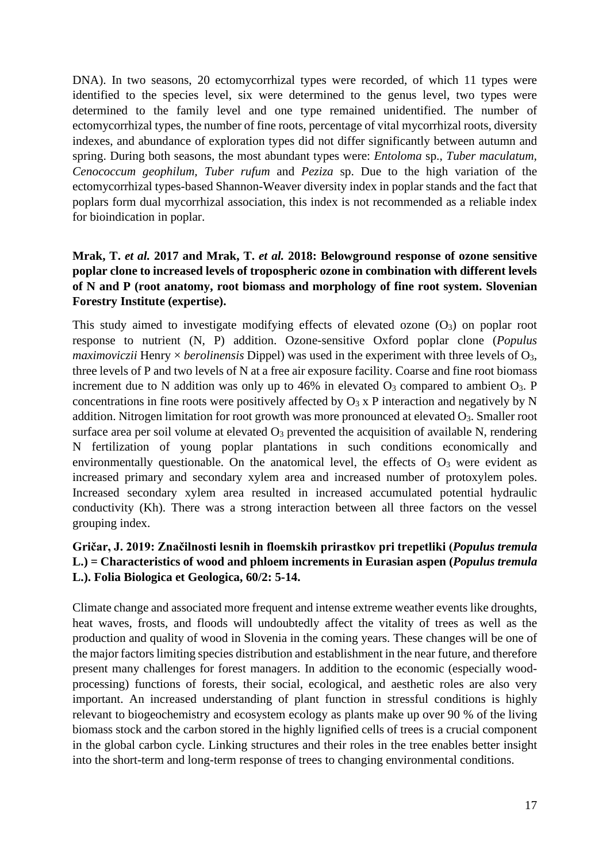DNA). In two seasons, 20 ectomycorrhizal types were recorded, of which 11 types were identified to the species level, six were determined to the genus level, two types were determined to the family level and one type remained unidentified. The number of ectomycorrhizal types, the number of fine roots, percentage of vital mycorrhizal roots, diversity indexes, and abundance of exploration types did not differ significantly between autumn and spring. During both seasons, the most abundant types were: *Entoloma* sp., *Tuber maculatum, Cenococcum geophilum, Tuber rufum* and *Peziza* sp. Due to the high variation of the ectomycorrhizal types-based Shannon-Weaver diversity index in poplar stands and the fact that poplars form dual mycorrhizal association, this index is not recommended as a reliable index for bioindication in poplar.

### **Mrak, T.** *et al.* **2017 and Mrak, T.** *et al.* **2018: Belowground response of ozone sensitive poplar clone to increased levels of tropospheric ozone in combination with different levels of N and P (root anatomy, root biomass and morphology of fine root system. Slovenian Forestry Institute (expertise).**

This study aimed to investigate modifying effects of elevated ozone  $(O_3)$  on poplar root response to nutrient (N, P) addition. Ozone-sensitive Oxford poplar clone (*Populus maximoviczii* Henry × *berolinensis* Dippel) was used in the experiment with three levels of O3, three levels of P and two levels of N at a free air exposure facility. Coarse and fine root biomass increment due to N addition was only up to 46% in elevated  $O_3$  compared to ambient  $O_3$ . P concentrations in fine roots were positively affected by  $O_3$  x P interaction and negatively by N addition. Nitrogen limitation for root growth was more pronounced at elevated O<sub>3</sub>. Smaller root surface area per soil volume at elevated  $O_3$  prevented the acquisition of available N, rendering N fertilization of young poplar plantations in such conditions economically and environmentally questionable. On the anatomical level, the effects of  $O_3$  were evident as increased primary and secondary xylem area and increased number of protoxylem poles. Increased secondary xylem area resulted in increased accumulated potential hydraulic conductivity (Kh). There was a strong interaction between all three factors on the vessel grouping index.

### **Gričar, J. 2019: Značilnosti lesnih in floemskih prirastkov pri trepetliki (***Populus tremula* **L.) = Characteristics of wood and phloem increments in Eurasian aspen (***Populus tremula* **L.). Folia Biologica et Geologica, 60/2: 5-14.**

Climate change and associated more frequent and intense extreme weather events like droughts, heat waves, frosts, and floods will undoubtedly affect the vitality of trees as well as the production and quality of wood in Slovenia in the coming years. These changes will be one of the major factors limiting species distribution and establishment in the near future, and therefore present many challenges for forest managers. In addition to the economic (especially woodprocessing) functions of forests, their social, ecological, and aesthetic roles are also very important. An increased understanding of plant function in stressful conditions is highly relevant to biogeochemistry and ecosystem ecology as plants make up over 90 % of the living biomass stock and the carbon stored in the highly lignified cells of trees is a crucial component in the global carbon cycle. Linking structures and their roles in the tree enables better insight into the short-term and long-term response of trees to changing environmental conditions.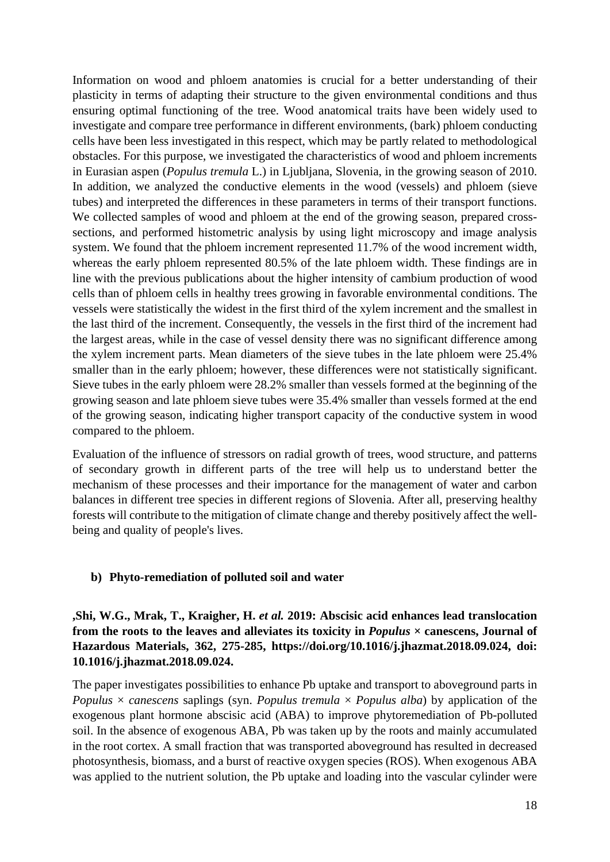Information on wood and phloem anatomies is crucial for a better understanding of their plasticity in terms of adapting their structure to the given environmental conditions and thus ensuring optimal functioning of the tree. Wood anatomical traits have been widely used to investigate and compare tree performance in different environments, (bark) phloem conducting cells have been less investigated in this respect, which may be partly related to methodological obstacles. For this purpose, we investigated the characteristics of wood and phloem increments in Eurasian aspen (*Populus tremula* L.) in Ljubljana, Slovenia, in the growing season of 2010. In addition, we analyzed the conductive elements in the wood (vessels) and phloem (sieve tubes) and interpreted the differences in these parameters in terms of their transport functions. We collected samples of wood and phloem at the end of the growing season, prepared crosssections, and performed histometric analysis by using light microscopy and image analysis system. We found that the phloem increment represented 11.7% of the wood increment width, whereas the early phloem represented 80.5% of the late phloem width. These findings are in line with the previous publications about the higher intensity of cambium production of wood cells than of phloem cells in healthy trees growing in favorable environmental conditions. The vessels were statistically the widest in the first third of the xylem increment and the smallest in the last third of the increment. Consequently, the vessels in the first third of the increment had the largest areas, while in the case of vessel density there was no significant difference among the xylem increment parts. Mean diameters of the sieve tubes in the late phloem were 25.4% smaller than in the early phloem; however, these differences were not statistically significant. Sieve tubes in the early phloem were 28.2% smaller than vessels formed at the beginning of the growing season and late phloem sieve tubes were 35.4% smaller than vessels formed at the end of the growing season, indicating higher transport capacity of the conductive system in wood compared to the phloem.

Evaluation of the influence of stressors on radial growth of trees, wood structure, and patterns of secondary growth in different parts of the tree will help us to understand better the mechanism of these processes and their importance for the management of water and carbon balances in different tree species in different regions of Slovenia. After all, preserving healthy forests will contribute to the mitigation of climate change and thereby positively affect the wellbeing and quality of people's lives.

#### **b) Phyto-remediation of polluted soil and water**

**,Shi, W.G., Mrak, T., Kraigher, H.** *et al.* **2019: Abscisic acid enhances lead translocation from the roots to the leaves and alleviates its toxicity in** *Populus* **× canescens, Journal of Hazardous Materials, 362, 275-285, [https://doi.org/10.1016/j.jhazmat.2018.09.024,](https://doi.org/10.1016/j.jhazmat.2018.09.024) doi: [10.1016/j.jhazmat.2018.09.024.](https://doi.org/10.1016/j.jhazmat.2018.09.024)** 

The paper investigates possibilities to enhance Pb uptake and transport to aboveground parts in *Populus* × *canescens* saplings (syn. *Populus tremula* × *Populus alba*) by application of the exogenous plant hormone abscisic acid (ABA) to improve phytoremediation of Pb-polluted soil. In the absence of exogenous ABA, Pb was taken up by the roots and mainly accumulated in the root cortex. A small fraction that was transported aboveground has resulted in decreased photosynthesis, biomass, and a burst of reactive oxygen species (ROS). When exogenous ABA was applied to the nutrient solution, the Pb uptake and loading into the vascular cylinder were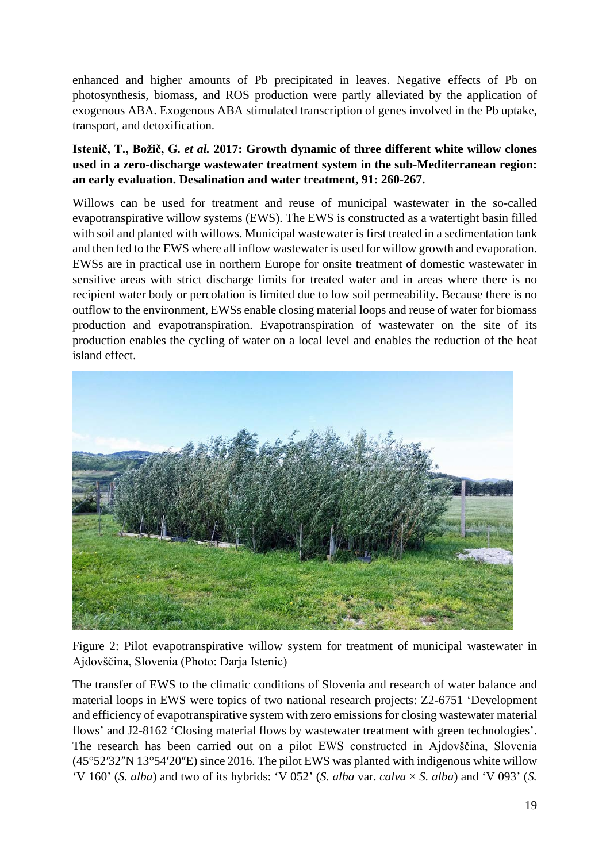enhanced and higher amounts of Pb precipitated in leaves. Negative effects of Pb on photosynthesis, biomass, and ROS production were partly alleviated by the application of exogenous ABA. Exogenous ABA stimulated transcription of genes involved in the Pb uptake, transport, and detoxification.

### **Istenič, T., Božič, G.** *et al.* **2017: Growth dynamic of three different white willow clones used in a zero-discharge wastewater treatment system in the sub-Mediterranean region: an early evaluation. Desalination and water treatment, 91: 260-267.**

Willows can be used for treatment and reuse of municipal wastewater in the so-called evapotranspirative willow systems (EWS). The EWS is constructed as a watertight basin filled with soil and planted with willows. Municipal wastewater is first treated in a sedimentation tank and then fed to the EWS where all inflow wastewater is used for willow growth and evaporation. EWSs are in practical use in northern Europe for onsite treatment of domestic wastewater in sensitive areas with strict discharge limits for treated water and in areas where there is no recipient water body or percolation is limited due to low soil permeability. Because there is no outflow to the environment, EWSs enable closing material loops and reuse of water for biomass production and evapotranspiration. Evapotranspiration of wastewater on the site of its production enables the cycling of water on a local level and enables the reduction of the heat island effect.



Figure 2: Pilot evapotranspirative willow system for treatment of municipal wastewater in Ajdovščina, Slovenia (Photo: Darja Istenic)

The transfer of EWS to the climatic conditions of Slovenia and research of water balance and material loops in EWS were topics of two national research projects: Z2-6751 'Development and efficiency of evapotranspirative system with zero emissions for closing wastewater material flows' and J2-8162 'Closing material flows by wastewater treatment with green technologies'. The research has been carried out on a pilot EWS constructed in Ajdovščina, Slovenia  $(45^{\circ}52'32''N 13^{\circ}54'20''E)$  since 2016. The pilot EWS was planted with indigenous white willow 'V 160' (*S. alba*) and two of its hybrids: 'V 052' (*S. alba* var. *calva*  $\times$  *S. alba*) and 'V 093' (*S.*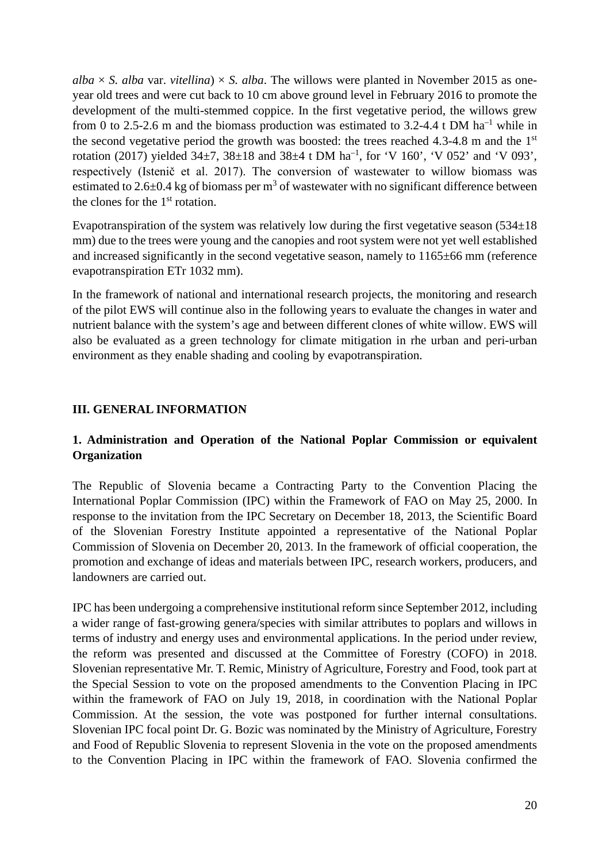$alba \times S$ . *alba* var. *vitellina*)  $\times S$ . *alba*. The willows were planted in November 2015 as oneyear old trees and were cut back to 10 cm above ground level in February 2016 to promote the development of the multi-stemmed coppice. In the first vegetative period, the willows grew from 0 to 2.5-2.6 m and the biomass production was estimated to 3.2-4.4 t DM ha<sup>-1</sup> while in the second vegetative period the growth was boosted: the trees reached  $4.3-4.8$  m and the  $1<sup>st</sup>$ rotation (2017) yielded  $34\pm7$ ,  $38\pm18$  and  $38\pm4$  t DM ha<sup>-1</sup>, for 'V 160', 'V 052' and 'V 093', respectively (Istenič et al. 2017). The conversion of wastewater to willow biomass was estimated to 2.6 $\pm$ 0.4 kg of biomass per m<sup>3</sup> of wastewater with no significant difference between the clones for the 1st rotation.

Evapotranspiration of the system was relatively low during the first vegetative season  $(534\pm18)$ mm) due to the trees were young and the canopies and root system were not yet well established and increased significantly in the second vegetative season, namely to 1165±66 mm (reference evapotranspiration ETr 1032 mm).

In the framework of national and international research projects, the monitoring and research of the pilot EWS will continue also in the following years to evaluate the changes in water and nutrient balance with the system's age and between different clones of white willow. EWS will also be evaluated as a green technology for climate mitigation in rhe urban and peri-urban environment as they enable shading and cooling by evapotranspiration.

# **III. GENERAL INFORMATION**

### **1. Administration and Operation of the National Poplar Commission or equivalent Organization**

The Republic of Slovenia became a Contracting Party to the Convention Placing the International Poplar Commission (IPC) within the Framework of FAO on May 25, 2000. In response to the invitation from the IPC Secretary on December 18, 2013, the Scientific Board of the Slovenian Forestry Institute appointed a representative of the National Poplar Commission of Slovenia on December 20, 2013. In the framework of official cooperation, the promotion and exchange of ideas and materials between IPC, research workers, producers, and landowners are carried out.

IPC has been undergoing a comprehensive institutional reform since September 2012, including a wider range of fast-growing genera/species with similar attributes to poplars and willows in terms of industry and energy uses and environmental applications. In the period under review, the reform was presented and discussed at the Committee of Forestry (COFO) in 2018. Slovenian representative Mr. T. Remic, Ministry of Agriculture, Forestry and Food, took part at the Special Session to vote on the proposed amendments to the Convention Placing in IPC within the framework of FAO on July 19, 2018, in coordination with the National Poplar Commission. At the session, the vote was postponed for further internal consultations. Slovenian IPC focal point Dr. G. Bozic was nominated by the Ministry of Agriculture, Forestry and Food of Republic Slovenia to represent Slovenia in the vote on the proposed amendments to the Convention Placing in IPC within the framework of FAO. Slovenia confirmed the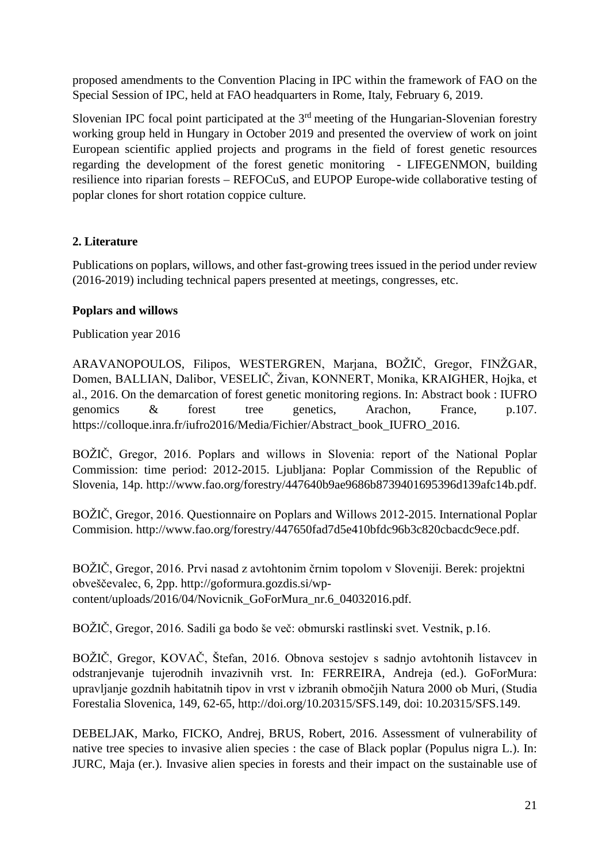proposed amendments to the Convention Placing in IPC within the framework of FAO on the Special Session of IPC, held at FAO headquarters in Rome, Italy, February 6, 2019.

Slovenian IPC focal point participated at the 3<sup>rd</sup> meeting of the Hungarian-Slovenian forestry working group held in Hungary in October 2019 and presented the overview of work on joint European scientific applied projects and programs in the field of forest genetic resources regarding the development of the forest genetic monitoring - LIFEGENMON, building resilience into riparian forests – REFOCuS, and EUPOP Europe-wide collaborative testing of poplar clones for short rotation coppice culture.

# **2. Literature**

Publications on poplars, willows, and other fast-growing trees issued in the period under review (2016-2019) including technical papers presented at meetings, congresses, etc.

# **Poplars and willows**

Publication year 2016

ARAVANOPOULOS, Filipos, WESTERGREN, Marjana, BOŽIČ, Gregor, FINŽGAR, Domen, BALLIAN, Dalibor, VESELIČ, Živan, KONNERT, Monika, KRAIGHER, Hojka, et al., 2016. On the demarcation of forest genetic monitoring regions. In: Abstract book : IUFRO genomics & forest tree genetics, Arachon, France, p.107. [https://colloque.inra.fr/iufro2016/Media/Fichier/Abstract\\_book\\_IUFRO\\_2016.](https://colloque.inra.fr/iufro2016/Media/Fichier/Abstract_book_IUFRO_2016)

BOŽIČ, Gregor, 2016. Poplars and willows in Slovenia: report of the National Poplar Commission: time period: 2012-2015. Ljubljana: Poplar Commission of the Republic of Slovenia, 14p. [http://www.fao.org/forestry/447640b9ae9686b8739401695396d139afc14b.pdf.](http://www.fao.org/forestry/447640b9ae9686b8739401695396d139afc14b.pdf)

BOŽIČ, Gregor, 2016. Questionnaire on Poplars and Willows 2012-2015. International Poplar Commision. [http://www.fao.org/forestry/447650fad7d5e410bfdc96b3c820cbacdc9ece.pdf.](http://www.fao.org/forestry/447650fad7d5e410bfdc96b3c820cbacdc9ece.pdf)

BOŽIČ, Gregor, 2016. Prvi nasad z avtohtonim črnim topolom v Sloveniji. Berek: projektni obveščevalec, 6, 2pp. [http://goformura.gozdis.si/wp](http://goformura.gozdis.si/wp-content/uploads/2016/04/Novicnik_GoForMura_nr.6_04032016.pdf)[content/uploads/2016/04/Novicnik\\_GoForMura\\_nr.6\\_04032016.pdf.](http://goformura.gozdis.si/wp-content/uploads/2016/04/Novicnik_GoForMura_nr.6_04032016.pdf)

BOŽIČ, Gregor, 2016. Sadili ga bodo še več: obmurski rastlinski svet. Vestnik, p.16.

BOŽIČ, Gregor, KOVAČ, Štefan, 2016. Obnova sestojev s sadnjo avtohtonih listavcev in odstranjevanje tujerodnih invazivnih vrst. In: FERREIRA, Andreja (ed.). GoForMura: upravljanje gozdnih habitatnih tipov in vrst v izbranih območjih Natura 2000 ob Muri, (Studia Forestalia Slovenica, 149, 62-65, [http://doi.org/10.20315/SFS.149,](http://doi.org/10.20315/SFS.149) doi: [10.20315/SFS.149.](https://doi.org/10.20315/SFS.149)

DEBELJAK, Marko, FICKO, Andrej, BRUS, Robert, 2016. Assessment of vulnerability of native tree species to invasive alien species : the case of Black poplar (Populus nigra L.). In: JURC, Maja (er.). Invasive alien species in forests and their impact on the sustainable use of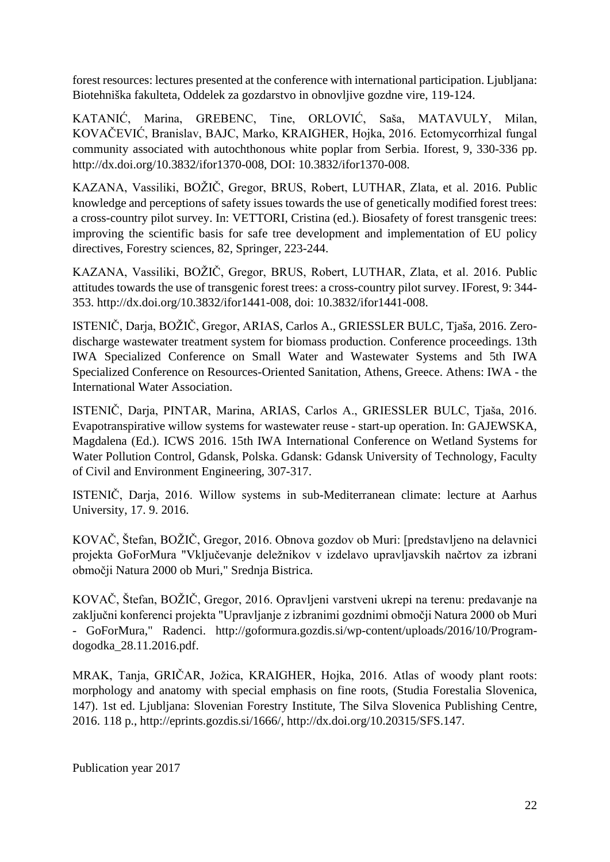forest resources: lectures presented at the conference with international participation. Ljubljana: Biotehniška fakulteta, Oddelek za gozdarstvo in obnovljive gozdne vire, 119-124.

KATANIĆ, Marina, GREBENC, Tine, ORLOVIĆ, Saša, MATAVULY, Milan, KOVAČEVIĆ, Branislav, BAJC, Marko, KRAIGHER, Hojka, 2016. Ectomycorrhizal fungal community associated with autochthonous white poplar from Serbia. Iforest, 9, 330-336 pp. [http://dx.doi.org/10.3832/ifor1370-008,](http://dx.doi.org/10.3832/ifor1370-008) DOI: [10.3832/ifor1370-008.](https://dx.doi.org/10.3832/ifor1370-008)

KAZANA, Vassiliki, BOŽIČ, Gregor, BRUS, Robert, LUTHAR, Zlata, et al. 2016. Public knowledge and perceptions of safety issues towards the use of genetically modified forest trees: a cross-country pilot survey. In: VETTORI, Cristina (ed.). Biosafety of forest transgenic trees: improving the scientific basis for safe tree development and implementation of EU policy directives, Forestry sciences, 82, Springer, 223-244.

KAZANA, Vassiliki, BOŽIČ, Gregor, BRUS, Robert, LUTHAR, Zlata, et al. 2016. Public attitudes towards the use of transgenic forest trees: a cross-country pilot survey. IForest, 9: 344- 353. [http://dx.doi.org/10.3832/ifor1441-008,](http://dx.doi.org/10.3832/ifor1441-008) doi: [10.3832/ifor1441-008.](https://doi.org/10.3832/ifor1441-008)

ISTENIČ, Darja, BOŽIČ, Gregor, ARIAS, Carlos A., GRIESSLER BULC, Tjaša, 2016. Zerodischarge wastewater treatment system for biomass production. Conference proceedings. 13th IWA Specialized Conference on Small Water and Wastewater Systems and 5th IWA Specialized Conference on Resources-Oriented Sanitation, Athens, Greece. Athens: IWA - the International Water Association.

ISTENIČ, Darja, PINTAR, Marina, ARIAS, Carlos A., GRIESSLER BULC, Tjaša, 2016. Evapotranspirative willow systems for wastewater reuse - start-up operation. In: GAJEWSKA, Magdalena (Ed.). ICWS 2016. 15th IWA International Conference on Wetland Systems for Water Pollution Control, Gdansk, Polska. Gdansk: Gdansk University of Technology, Faculty of Civil and Environment Engineering, 307-317.

ISTENIČ, Darja, 2016. Willow systems in sub-Mediterranean climate: lecture at Aarhus University, 17. 9. 2016.

KOVAČ, Štefan, BOŽIČ, Gregor, 2016. Obnova gozdov ob Muri: [predstavljeno na delavnici projekta GoForMura "Vključevanje deležnikov v izdelavo upravljavskih načrtov za izbrani območji Natura 2000 ob Muri," Srednja Bistrica.

KOVAČ, Štefan, BOŽIČ, Gregor, 2016. Opravljeni varstveni ukrepi na terenu: predavanje na zaključni konferenci projekta "Upravljanje z izbranimi gozdnimi območji Natura 2000 ob Muri - GoForMura," Radenci. [http://goformura.gozdis.si/wp-content/uploads/2016/10/Program](http://goformura.gozdis.si/wp-content/uploads/2016/10/Program-dogodka_28.11.2016.pdf)[dogodka\\_28.11.2016.pdf.](http://goformura.gozdis.si/wp-content/uploads/2016/10/Program-dogodka_28.11.2016.pdf)

MRAK, Tanja, GRIČAR, Jožica, KRAIGHER, Hojka, 2016. Atlas of woody plant roots: morphology and anatomy with special emphasis on fine roots, (Studia Forestalia Slovenica, 147). 1st ed. Ljubljana: Slovenian Forestry Institute, The Silva Slovenica Publishing Centre, 2016. 118 p., [http://eprints.gozdis.si/1666/,](http://eprints.gozdis.si/1666/) [http://dx.doi.org/10.20315/SFS.147.](http://dx.doi.org/10.20315/SFS.147)

Publication year 2017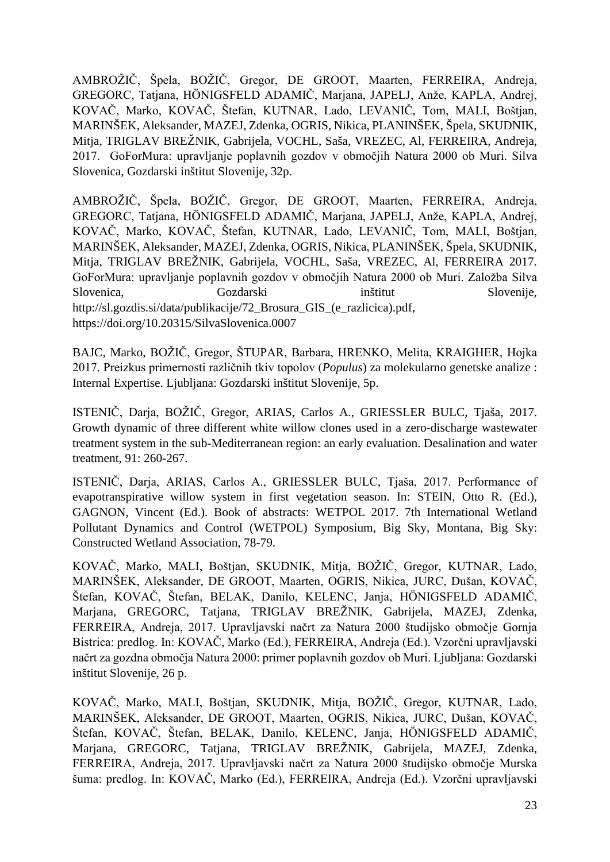AMBROŽIČ, Špela, BOŽIČ, Gregor, DE GROOT, Maarten, FERREIRA, Andreja, GREGORC, Tatjana, HÖNIGSFELD ADAMIČ, Marjana, JAPELJ, Anže, KAPLA, Andrej, KOVAČ, Marko, KOVAČ, Štefan, KUTNAR, Lado, LEVANIČ, Tom, MALI, Boštjan, MARINŠEK, Aleksander, MAZEJ, Zdenka, OGRIS, Nikica, PLANINŠEK, Špela, SKUDNIK, Mitja, TRIGLAV BREŽNIK, Gabrijela, VOCHL, Saša, VREZEC, Al, FERREIRA, Andreja, 2017. GoForMura: upravljanje poplavnih gozdov v območjih Natura 2000 ob Muri. Silva Slovenica, Gozdarski inštitut Slovenije, 32p.

AMBROŽIČ, Špela, BOŽIČ, Gregor, DE GROOT, Maarten, FERREIRA, Andreja, GREGORC, Tatjana, HÖNIGSFELD ADAMIČ, Marjana, JAPELJ, Anže, KAPLA, Andrej, KOVAČ, Marko, KOVAČ, Štefan, KUTNAR, Lado, LEVANIČ, Tom, MALI, Boštjan, MARINŠEK, Aleksander, MAZEJ, Zdenka, OGRIS, Nikica, PLANINŠEK, Špela, SKUDNIK, Mitja, TRIGLAV BREŽNIK, Gabrijela, VOCHL, Saša, VREZEC, Al, FERREIRA 2017. GoForMura: upravljanje poplavnih gozdov v območjih Natura 2000 ob Muri. Založba Silva Slovenica, Gozdarski inštitut Slovenije, [http://sl.gozdis.si/data/publikacije/72\\_Brosura\\_GIS\\_\(e\\_razlicica\).pdf,](http://sl.gozdis.si/data/publikacije/72_Brosura_GIS_(e_razlicica).pdf) <https://doi.org/10.20315/SilvaSlovenica.0007>

BAJC, Marko, BOŽIČ, Gregor, ŠTUPAR, Barbara, HRENKO, Melita, KRAIGHER, Hojka 2017. Preizkus primernosti različnih tkiv topolov (*Populus*) za molekularno genetske analize : Internal Expertise. Ljubljana: Gozdarski inštitut Slovenije, 5p.

ISTENIČ, Darja, BOŽIČ, Gregor, ARIAS, Carlos A., GRIESSLER BULC, Tjaša, 2017. Growth dynamic of three different white willow clones used in a zero-discharge wastewater treatment system in the sub-Mediterranean region: an early evaluation. Desalination and water treatment, 91: 260-267.

ISTENIČ, Darja, ARIAS, Carlos A., GRIESSLER BULC, Tjaša, 2017. Performance of evapotranspirative willow system in first vegetation season. In: STEIN, Otto R. (Ed.), GAGNON, Vincent (Ed.). Book of abstracts: WETPOL 2017. 7th International Wetland Pollutant Dynamics and Control (WETPOL) Symposium, Big Sky, Montana, Big Sky: Constructed Wetland Association, 78-79.

KOVAČ, Marko, MALI, Boštjan, SKUDNIK, Mitja, BOŽIČ, Gregor, KUTNAR, Lado, MARINŠEK, Aleksander, DE GROOT, Maarten, OGRIS, Nikica, JURC, Dušan, KOVAČ, Štefan, KOVAČ, Štefan, BELAK, Danilo, KELENC, Janja, HÖNIGSFELD ADAMIČ, Marjana, GREGORC, Tatjana, TRIGLAV BREŽNIK, Gabrijela, MAZEJ, Zdenka, FERREIRA, Andreja, 2017. Upravljavski načrt za Natura 2000 študijsko območje Gornja Bistrica: predlog. In: KOVAČ, Marko (Ed.), FERREIRA, Andreja (Ed.). Vzorčni upravljavski načrt za gozdna območja Natura 2000: primer poplavnih gozdov ob Muri. Ljubljana: Gozdarski inštitut Slovenije, 26 p.

KOVAČ, Marko, MALI, Boštjan, SKUDNIK, Mitja, BOŽIČ, Gregor, KUTNAR, Lado, MARINŠEK, Aleksander, DE GROOT, Maarten, OGRIS, Nikica, JURC, Dušan, KOVAČ, Štefan, KOVAČ, Štefan, BELAK, Danilo, KELENC, Janja, HÖNIGSFELD ADAMIČ, Marjana, GREGORC, Tatjana, TRIGLAV BREŽNIK, Gabrijela, MAZEJ, Zdenka, FERREIRA, Andreja, 2017. Upravljavski načrt za Natura 2000 študijsko območje Murska šuma: predlog. In: KOVAČ, Marko (Ed.), FERREIRA, Andreja (Ed.). Vzorčni upravljavski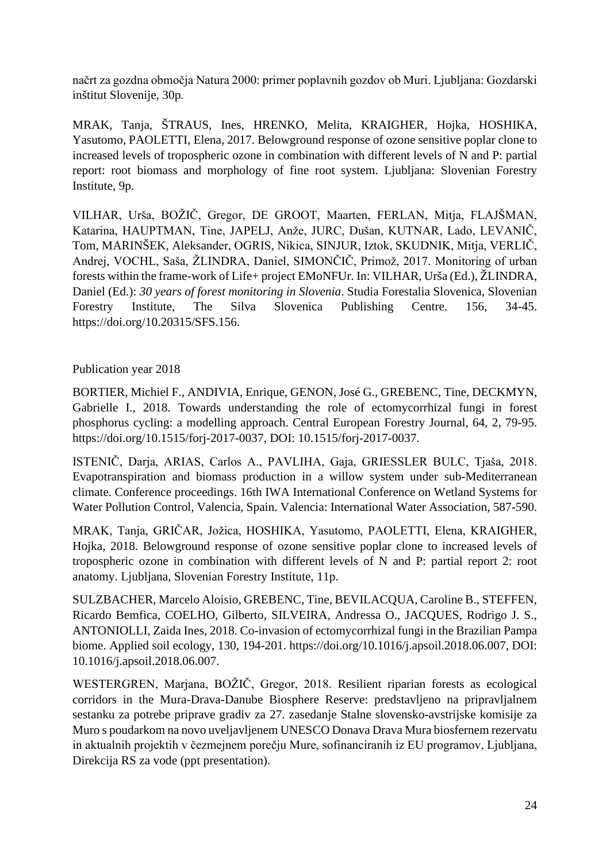načrt za gozdna območja Natura 2000: primer poplavnih gozdov ob Muri. Ljubljana: Gozdarski inštitut Slovenije, 30p.

MRAK, Tanja, ŠTRAUS, Ines, HRENKO, Melita, KRAIGHER, Hojka, HOSHIKA, Yasutomo, PAOLETTI, Elena, 2017. Belowground response of ozone sensitive poplar clone to increased levels of tropospheric ozone in combination with different levels of N and P: partial report: root biomass and morphology of fine root system. Ljubljana: Slovenian Forestry Institute, 9p.

VILHAR, Urša, BOŽIČ, Gregor, DE GROOT, Maarten, FERLAN, Mitja, FLAJŠMAN, Katarina, HAUPTMAN, Tine, JAPELJ, Anže, JURC, Dušan, KUTNAR, Lado, LEVANIČ, Tom, MARINŠEK, Aleksander, OGRIS, Nikica, SINJUR, Iztok, SKUDNIK, Mitja, VERLIČ, Andrej, VOCHL, Saša, ŽLINDRA, Daniel, SIMONČIČ, Primož, 2017. Monitoring of urban forests within the frame-work of Life+ project EMoNFUr. In: VILHAR, Urša (Ed.), ŽLINDRA, Daniel (Ed.): *30 years of forest monitoring in Slovenia*. Studia Forestalia Slovenica, Slovenian Forestry Institute, The Silva Slovenica Publishing Centre. 156, 34-45. [https://doi.org/10.20315/SFS.156.](https://doi.org/10.20315/SFS.156)

### Publication year 2018

BORTIER, Michiel F., ANDIVIA, Enrique, GENON, José G., GREBENC, Tine, DECKMYN, Gabrielle I., 2018. Towards understanding the role of ectomycorrhizal fungi in forest phosphorus cycling: a modelling approach. Central European Forestry Journal, 64, 2, 79-95. [https://doi.org/10.1515/forj-2017-0037,](https://doi.org/10.1515/forj-2017-0037) DOI: [10.1515/forj-2017-0037.](https://dx.doi.org/10.1515/forj-2017-0037)

ISTENIČ, Darja, ARIAS, Carlos A., PAVLIHA, Gaja, GRIESSLER BULC, Tjaša, 2018. Evapotranspiration and biomass production in a willow system under sub-Mediterranean climate. Conference proceedings. 16th IWA International Conference on Wetland Systems for Water Pollution Control, Valencia, Spain. Valencia: International Water Association, 587-590.

MRAK, Tanja, GRIČAR, Jožica, HOSHIKA, Yasutomo, PAOLETTI, Elena, KRAIGHER, Hojka, 2018. Belowground response of ozone sensitive poplar clone to increased levels of tropospheric ozone in combination with different levels of N and P: partial report 2: root anatomy. Ljubljana, Slovenian Forestry Institute, 11p.

SULZBACHER, Marcelo Aloisio, GREBENC, Tine, BEVILACQUA, Caroline B., STEFFEN, Ricardo Bemfica, COELHO, Gilberto, SILVEIRA, Andressa O., JACQUES, Rodrigo J. S., ANTONIOLLI, Zaida Ines, 2018. Co-invasion of ectomycorrhizal fungi in the Brazilian Pampa biome. Applied soil ecology, 130, 194-201. [https://doi.org/10.1016/j.apsoil.2018.06.007,](https://doi.org/10.1016/j.apsoil.2018.06.007) DOI: [10.1016/j.apsoil.2018.06.007.](https://dx.doi.org/10.1016/j.apsoil.2018.06.007)

WESTERGREN, Marjana, BOŽIČ, Gregor, 2018. Resilient riparian forests as ecological corridors in the Mura-Drava-Danube Biosphere Reserve: predstavljeno na pripravljalnem sestanku za potrebe priprave gradiv za 27. zasedanje Stalne slovensko-avstrijske komisije za Muro s poudarkom na novo uveljavljenem UNESCO Donava Drava Mura biosfernem rezervatu in aktualnih projektih v čezmejnem porečju Mure, sofinanciranih iz EU programov, Ljubljana, Direkcija RS za vode (ppt presentation).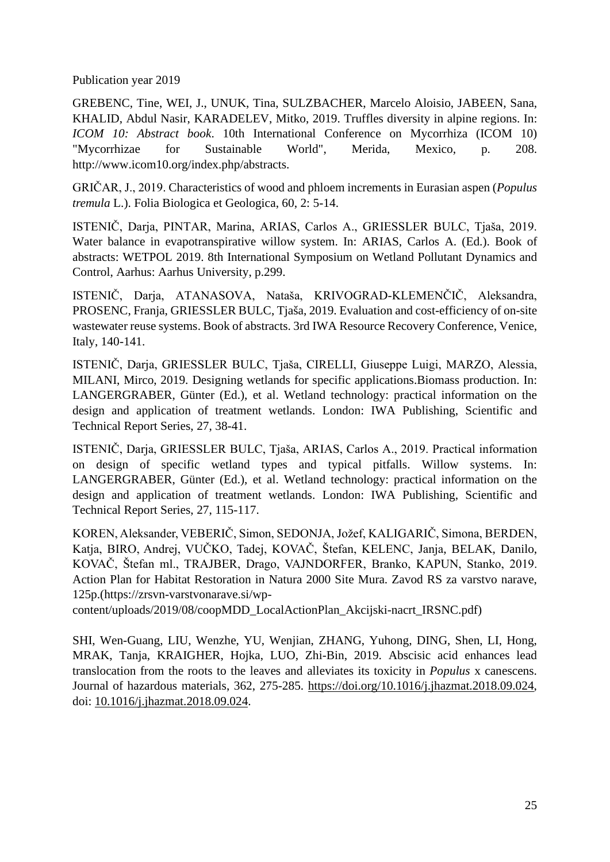Publication year 2019

GREBENC, Tine, WEI, J., UNUK, Tina, SULZBACHER, Marcelo Aloisio, JABEEN, Sana, KHALID, Abdul Nasir, KARADELEV, Mitko, 2019. Truffles diversity in alpine regions. In: *ICOM 10: Abstract book*. 10th International Conference on Mycorrhiza (ICOM 10) "Mycorrhizae for Sustainable World", Merida, Mexico, p. 208. [http://www.icom10.org/index.php/abstracts.](http://www.icom10.org/index.php/abstracts)

GRIČAR, J., 2019. Characteristics of wood and phloem increments in Eurasian aspen (*Populus tremula* L.). Folia Biologica et Geologica, 60, 2: 5-14.

ISTENIČ, Darja, PINTAR, Marina, ARIAS, Carlos A., GRIESSLER BULC, Tjaša, 2019. Water balance in evapotranspirative willow system. In: ARIAS, Carlos A. (Ed.). Book of abstracts: WETPOL 2019. 8th International Symposium on Wetland Pollutant Dynamics and Control, Aarhus: Aarhus University, p.299.

ISTENIČ, Darja, ATANASOVA, Nataša, KRIVOGRAD-KLEMENČIČ, Aleksandra, PROSENC, Franja, GRIESSLER BULC, Tjaša, 2019. Evaluation and cost-efficiency of on-site wastewater reuse systems. Book of abstracts. 3rd IWA Resource Recovery Conference, Venice, Italy, 140-141.

ISTENIČ, Darja, GRIESSLER BULC, Tjaša, CIRELLI, Giuseppe Luigi, MARZO, Alessia, MILANI, Mirco, 2019. Designing wetlands for specific applications.Biomass production. In: LANGERGRABER, Günter (Ed.), et al. Wetland technology: practical information on the design and application of treatment wetlands. London: IWA Publishing, Scientific and Technical Report Series, 27, 38-41.

ISTENIČ, Darja, GRIESSLER BULC, Tjaša, ARIAS, Carlos A., 2019. Practical information on design of specific wetland types and typical pitfalls. Willow systems. In: LANGERGRABER, Günter (Ed.), et al. Wetland technology: practical information on the design and application of treatment wetlands. London: IWA Publishing, Scientific and Technical Report Series, 27, 115-117.

KOREN, Aleksander, VEBERIČ, Simon, SEDONJA, Jožef, KALIGARIČ, Simona, BERDEN, Katja, BIRO, Andrej, VUČKO, Tadej, KOVAČ, Štefan, KELENC, Janja, BELAK, Danilo, KOVAČ, Štefan ml., TRAJBER, Drago, VAJNDORFER, Branko, KAPUN, Stanko, 2019. Action Plan for Habitat Restoration in Natura 2000 Site Mura. Zavod RS za varstvo narave, 125p.[\(https://zrsvn-varstvonarave.si/wp-](https://zrsvn-varstvonarave.si/wp-content/uploads/2019/08/coopMDD_LocalActionPlan_Akcijski-nacrt_IRSNC.pdf)

[content/uploads/2019/08/coopMDD\\_LocalActionPlan\\_Akcijski-nacrt\\_IRSNC.pdf\)](https://zrsvn-varstvonarave.si/wp-content/uploads/2019/08/coopMDD_LocalActionPlan_Akcijski-nacrt_IRSNC.pdf)

SHI, Wen-Guang, LIU, Wenzhe, YU, Wenjian, ZHANG, Yuhong, DING, Shen, LI, Hong, MRAK, Tanja, KRAIGHER, Hojka, LUO, Zhi-Bin, 2019. Abscisic acid enhances lead translocation from the roots to the leaves and alleviates its toxicity in *Populus* x canescens. Journal of hazardous materials, 362, 275-285. [https://doi.org/10.1016/j.jhazmat.2018.09.024,](https://doi.org/10.1016/j.jhazmat.2018.09.024) doi: [10.1016/j.jhazmat.2018.09.024.](https://doi.org/10.1016/j.jhazmat.2018.09.024)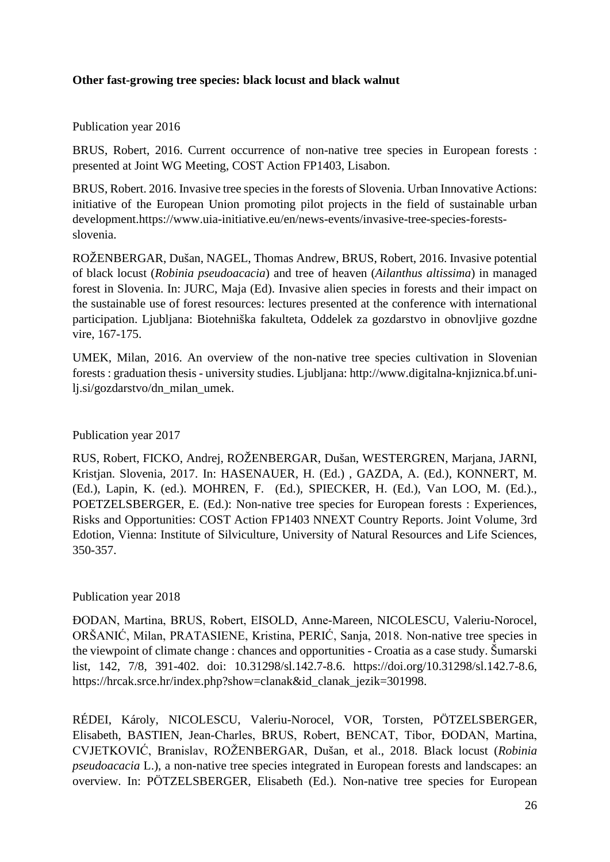#### **Other fast-growing tree species: black locust and black walnut**

Publication year 2016

BRUS, Robert, 2016. Current occurrence of non-native tree species in European forests : presented at Joint WG Meeting, COST Action FP1403, Lisabon.

BRUS, Robert. 2016. Invasive tree species in the forests of Slovenia. Urban Innovative Actions: initiative of the European Union promoting pilot projects in the field of sustainable urban development[.https://www.uia-initiative.eu/en/news-events/invasive-tree-species-forests](https://www.uia-initiative.eu/en/news-events/invasive-tree-species-forests-slovenia)[slovenia.](https://www.uia-initiative.eu/en/news-events/invasive-tree-species-forests-slovenia)

ROŽENBERGAR, Dušan, NAGEL, Thomas Andrew, BRUS, Robert, 2016. Invasive potential of black locust (*Robinia pseudoacacia*) and tree of heaven (*Ailanthus altissima*) in managed forest in Slovenia. In: JURC, Maja (Ed). Invasive alien species in forests and their impact on the sustainable use of forest resources: lectures presented at the conference with international participation. Ljubljana: Biotehniška fakulteta, Oddelek za gozdarstvo in obnovljive gozdne vire, 167-175.

UMEK, Milan, 2016. An overview of the non-native tree species cultivation in Slovenian forests : graduation thesis - university studies. Ljubljana: [http://www.digitalna-knjiznica.bf.uni](http://www.digitalna-knjiznica.bf.uni-lj.si/gozdarstvo/dn_milan_umek)[lj.si/gozdarstvo/dn\\_milan\\_umek.](http://www.digitalna-knjiznica.bf.uni-lj.si/gozdarstvo/dn_milan_umek)

Publication year 2017

RUS, Robert, FICKO, Andrej, ROŽENBERGAR, Dušan, WESTERGREN, Marjana, JARNI, Kristjan. Slovenia, 2017. In: HASENAUER, H. (Ed.) , GAZDA, A. (Ed.), KONNERT, M. (Ed.), Lapin, K. (ed.). MOHREN, F. (Ed.), SPIECKER, H. (Ed.), Van LOO, M. (Ed.)., POETZELSBERGER, E. (Ed.): Non-native tree species for European forests : Experiences, Risks and Opportunities: COST Action FP1403 NNEXT Country Reports. Joint Volume, 3rd Edotion, Vienna: Institute of Silviculture, University of Natural Resources and Life Sciences, 350-357.

#### Publication year 2018

ĐODAN, Martina, BRUS, Robert, EISOLD, Anne-Mareen, NICOLESCU, Valeriu-Norocel, ORŠANIĆ, Milan, PRATASIENE, Kristina, PERIĆ, Sanja, 2018. Non-native tree species in the viewpoint of climate change : chances and opportunities - Croatia as a case study. Šumarski list, 142, 7/8, 391-402. doi: [10.31298/sl.142.7-8.6.](https://doi.org/10.31298/sl.142.7-8.6) [https://doi.org/10.31298/sl.142.7-8.6,](https://doi.org/10.31298/sl.142.7-8.6) [https://hrcak.srce.hr/index.php?show=clanak&id\\_clanak\\_jezik=301998.](https://hrcak.srce.hr/index.php?show=clanak&id_clanak_jezik=301998)

RÉDEI, Károly, NICOLESCU, Valeriu-Norocel, VOR, Torsten, PÖTZELSBERGER, Elisabeth, BASTIEN, Jean-Charles, BRUS, Robert, BENCAT, Tibor, ĐODAN, Martina, CVJETKOVIĆ, Branislav, ROŽENBERGAR, Dušan, et al., 2018. Black locust (*Robinia pseudoacacia* L.), a non-native tree species integrated in European forests and landscapes: an overview. In: PÖTZELSBERGER, Elisabeth (Ed.). Non-native tree species for European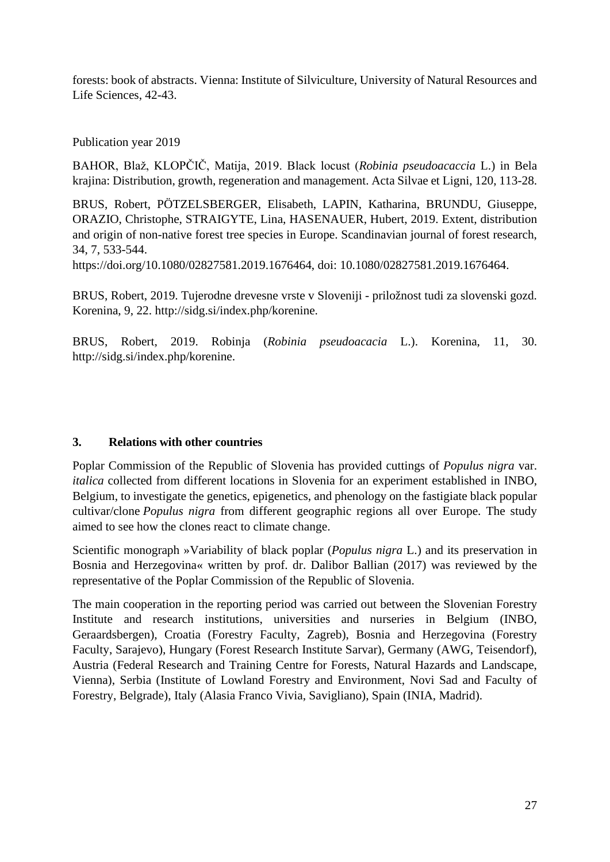forests: book of abstracts. Vienna: Institute of Silviculture, University of Natural Resources and Life Sciences, 42-43.

Publication year 2019

BAHOR, Blaž, KLOPČIČ, Matija, 2019. Black locust (*Robinia pseudoacaccia* L.) in Bela krajina: Distribution, growth, regeneration and management. Acta Silvae et Ligni, 120, 113-28.

BRUS, Robert, PÖTZELSBERGER, Elisabeth, LAPIN, Katharina, BRUNDU, Giuseppe, ORAZIO, Christophe, STRAIGYTE, Lina, HASENAUER, Hubert, 2019. Extent, distribution and origin of non-native forest tree species in Europe. Scandinavian journal of forest research, 34, 7, 533-544.

[https://doi.org/10.1080/02827581.2019.1676464,](https://doi.org/10.1080/02827581.2019.1676464) doi: [10.1080/02827581.2019.1676464.](https://doi.org/10.1080/02827581.2019.1676464)

BRUS, Robert, 2019. Tujerodne drevesne vrste v Sloveniji - priložnost tudi za slovenski gozd. Korenina, 9, 22. [http://sidg.si/index.php/korenine.](http://sidg.si/index.php/korenine)

BRUS, Robert, 2019. Robinja (*Robinia pseudoacacia* L.). Korenina, 11, 30. [http://sidg.si/index.php/korenine.](http://sidg.si/index.php/korenine)

# **3. Relations with other countries**

Poplar Commission of the Republic of Slovenia has provided cuttings of *Populus nigra* var. *italica* collected from different locations in Slovenia for an experiment established in INBO, Belgium, to investigate the genetics, epigenetics, and phenology on the fastigiate black popular cultivar/clone *Populus nigra* from different geographic regions all over Europe. The study aimed to see how the clones react to climate change.

Scientific monograph »Variability of black poplar (*Populus nigra* L.) and its preservation in Bosnia and Herzegovina« written by prof. dr. Dalibor Ballian (2017) was reviewed by the representative of the Poplar Commission of the Republic of Slovenia.

The main cooperation in the reporting period was carried out between the Slovenian Forestry Institute and research institutions, universities and nurseries in Belgium (INBO, Geraardsbergen), Croatia (Forestry Faculty, Zagreb), Bosnia and Herzegovina (Forestry Faculty, Sarajevo), Hungary (Forest Research Institute Sarvar), Germany (AWG, Teisendorf), Austria (Federal Research and Training Centre for Forests, Natural Hazards and Landscape, Vienna), Serbia [\(Institute of Lowland Forestry and Environment,](https://www.uns.ac.rs/index.php/en/institutes-centres/institutes/institute-lowland-forestry-environment) Novi Sad and Faculty of Forestry, Belgrade), Italy (Alasia Franco Vivia, Savigliano), Spain (INIA, Madrid).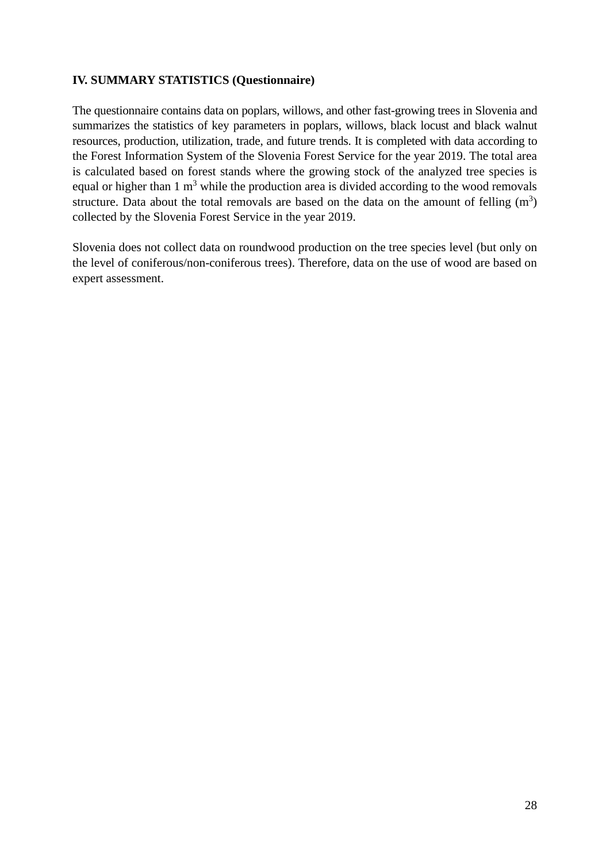#### **IV. SUMMARY STATISTICS (Questionnaire)**

The questionnaire contains data on poplars, willows, and other fast-growing trees in Slovenia and summarizes the statistics of key parameters in poplars, willows, black locust and black walnut resources, production, utilization, trade, and future trends. It is completed with data according to the Forest Information System of the Slovenia Forest Service for the year 2019. The total area is calculated based on forest stands where the growing stock of the analyzed tree species is equal or higher than  $1 \text{ m}^3$  while the production area is divided according to the wood removals structure. Data about the total removals are based on the data on the amount of felling  $(m<sup>3</sup>)$ collected by the Slovenia Forest Service in the year 2019.

Slovenia does not collect data on roundwood production on the tree species level (but only on the level of coniferous/non-coniferous trees). Therefore, data on the use of wood are based on expert assessment.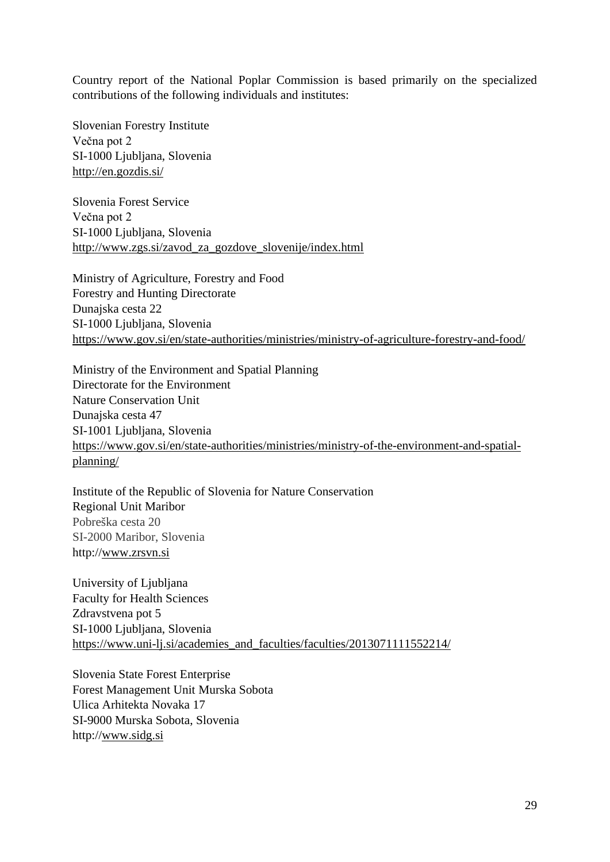Country report of the National Poplar Commission is based primarily on the specialized contributions of the following individuals and institutes:

Slovenian Forestry Institute Večna pot 2 SI-1000 Ljubljana, Slovenia <http://en.gozdis.si/>

Slovenia Forest Service Večna pot 2 SI-1000 Ljubljana, Slovenia [http://www.zgs.si/zavod\\_za\\_gozdove\\_slovenije/index.html](http://www.zgs.si/zavod_za_gozdove_slovenije/index.html)

Ministry of Agriculture, Forestry and Food Forestry and Hunting Directorate Dunajska cesta 22 SI-1000 Ljubljana, Slovenia <https://www.gov.si/en/state-authorities/ministries/ministry-of-agriculture-forestry-and-food/>

Ministry of the Environment and Spatial Planning Directorate for the Environment Nature Conservation Unit Dunajska cesta 47 [SI-1001 Ljubljana,](https://www.culture.si/en/SI-1001_Ljubljana) Slovenia [https://www.gov.si/en/state-authorities/ministries/ministry-of-the-environment-and-spatial](https://www.gov.si/en/state-authorities/ministries/ministry-of-the-environment-and-spatial-planning/)[planning/](https://www.gov.si/en/state-authorities/ministries/ministry-of-the-environment-and-spatial-planning/)

Institute of the Republic of Slovenia for Nature Conservation Regional Unit Maribor Pobreška cesta 20 SI-2000 Maribor, Slovenia http:/[/w](http://www.izvrs.si/)[ww.zrsvn.si](http://www.zrsvn.si/en/default.asp)

University of Ljubljana Faculty for Health Sciences Zdravstvena pot 5 SI-1000 Ljubljana, Slovenia https://www.uni-li.si/academies\_and\_faculties/faculties/2013071111552214/

Slovenia State Forest Enterprise Forest Management Unit Murska Sobota Ulica Arhitekta Novaka 17 SI-9000 Murska Sobota, Slovenia http:/[/w](http://www.izvrs.si/)[ww.sidg.si](http://www.zrsvn.si/en/default.asp)